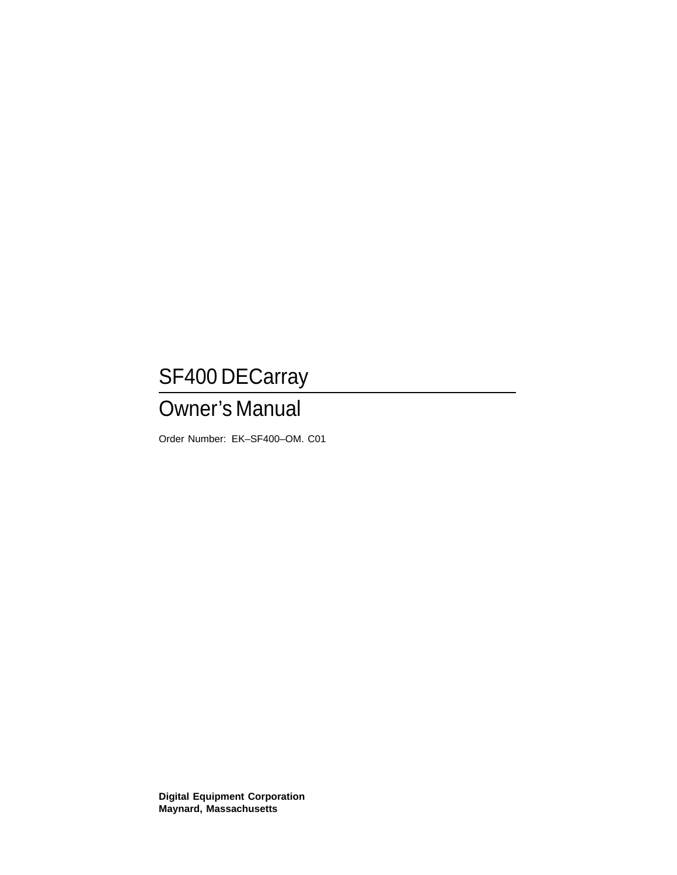# SF400 DECarray

# Owner's Manual

Order Number: EK–SF400–OM. C01

**Digital Equipment Corporation Maynard, Massachusetts**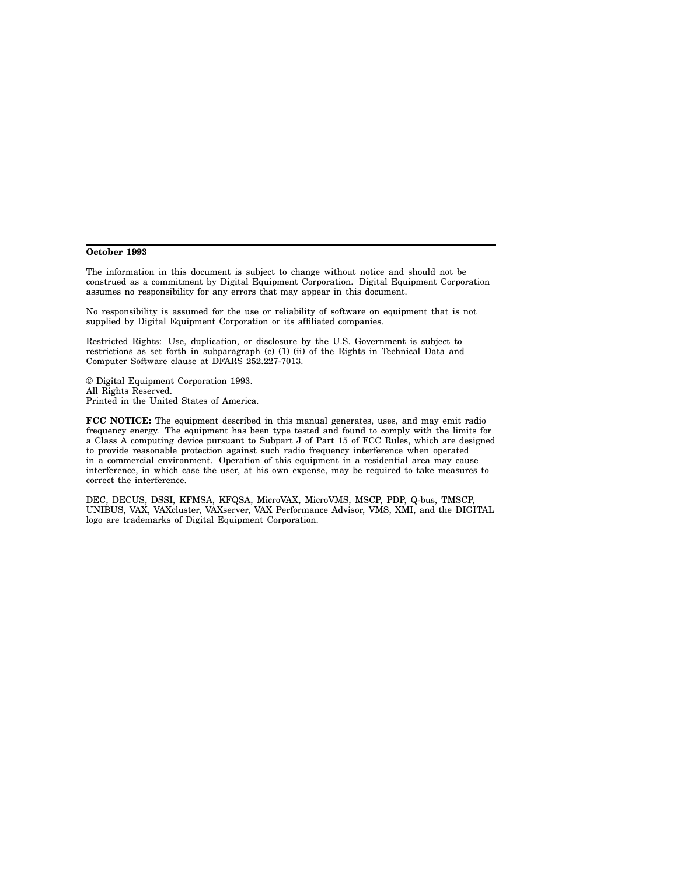#### **October 1993**

The information in this document is subject to change without notice and should not be construed as a commitment by Digital Equipment Corporation. Digital Equipment Corporation assumes no responsibility for any errors that may appear in this document.

No responsibility is assumed for the use or reliability of software on equipment that is not supplied by Digital Equipment Corporation or its affiliated companies.

Restricted Rights: Use, duplication, or disclosure by the U.S. Government is subject to restrictions as set forth in subparagraph (c) (1) (ii) of the Rights in Technical Data and Computer Software clause at DFARS 252.227-7013.

© Digital Equipment Corporation 1993. All Rights Reserved. Printed in the United States of America.

**FCC NOTICE:** The equipment described in this manual generates, uses, and may emit radio frequency energy. The equipment has been type tested and found to comply with the limits for a Class A computing device pursuant to Subpart J of Part 15 of FCC Rules, which are designed to provide reasonable protection against such radio frequency interference when operated in a commercial environment. Operation of this equipment in a residential area may cause interference, in which case the user, at his own expense, may be required to take measures to correct the interference.

DEC, DECUS, DSSI, KFMSA, KFQSA, MicroVAX, MicroVMS, MSCP, PDP, Q-bus, TMSCP, UNIBUS, VAX, VAXcluster, VAXserver, VAX Performance Advisor, VMS, XMI, and the DIGITAL logo are trademarks of Digital Equipment Corporation.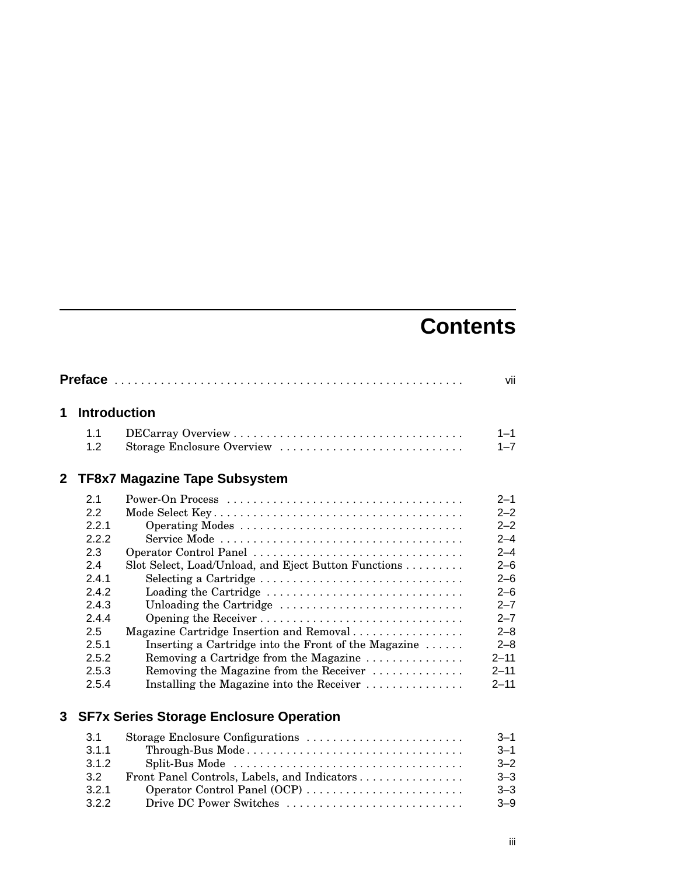# **Contents**

|                |                                                                                                                 |                                                                                                                                                                                                                                                                                                                                                      | vii                                                                                                                                                      |
|----------------|-----------------------------------------------------------------------------------------------------------------|------------------------------------------------------------------------------------------------------------------------------------------------------------------------------------------------------------------------------------------------------------------------------------------------------------------------------------------------------|----------------------------------------------------------------------------------------------------------------------------------------------------------|
| 1              | <b>Introduction</b>                                                                                             |                                                                                                                                                                                                                                                                                                                                                      |                                                                                                                                                          |
|                | 1.1<br>1.2                                                                                                      | Storage Enclosure Overview                                                                                                                                                                                                                                                                                                                           | $1 - 1$<br>$1 - 7$                                                                                                                                       |
| 2 <sup>1</sup> |                                                                                                                 | <b>TF8x7 Magazine Tape Subsystem</b>                                                                                                                                                                                                                                                                                                                 |                                                                                                                                                          |
|                | 2.1<br>22<br>2.2.1<br>2.2.2<br>2.3<br>2.4<br>2.4.1<br>2.4.2<br>2.4.3<br>2.4.4<br>2.5<br>2.5.1<br>2.5.2<br>2.5.3 | Operator Control Panel<br>Slot Select, Load/Unload, and Eject Button Functions<br>Selecting a Cartridge<br>Loading the Cartridge<br>Unloading the Cartridge<br>Magazine Cartridge Insertion and Removal<br>Inserting a Cartridge into the Front of the Magazine<br>Removing a Cartridge from the Magazine<br>Removing the Magazine from the Receiver | $2 - 1$<br>$2 - 2$<br>$2 - 2$<br>$2 - 4$<br>$2 - 4$<br>$2 - 6$<br>$2 - 6$<br>$2 - 6$<br>$2 - 7$<br>$2 - 7$<br>$2 - 8$<br>$2 - 8$<br>$2 - 11$<br>$2 - 11$ |
| 3              | 2.5.4                                                                                                           | Installing the Magazine into the Receiver<br><b>SF7x Series Storage Enclosure Operation</b>                                                                                                                                                                                                                                                          | $2 - 11$                                                                                                                                                 |
|                | 3.1<br>3.1.1<br>3.1.2                                                                                           | Storage Enclosure Configurations<br>Through-Bus Mode<br>Split-Bus Mode                                                                                                                                                                                                                                                                               | $3 - 1$<br>$3 - 1$<br>$3 - 2$                                                                                                                            |

3.2 Front Panel Controls, Labels, and Indicators . . . . . . . . . . . . . . . . 3–3 3.2.1 Operator Control Panel (OCP) . . . . . . . . . . . . . . . . . . . . . . . . 3–3 3.2.2 Drive DC Power Switches . . . . . . . . . . . . . . . . . . . . . . . . . . . 3–9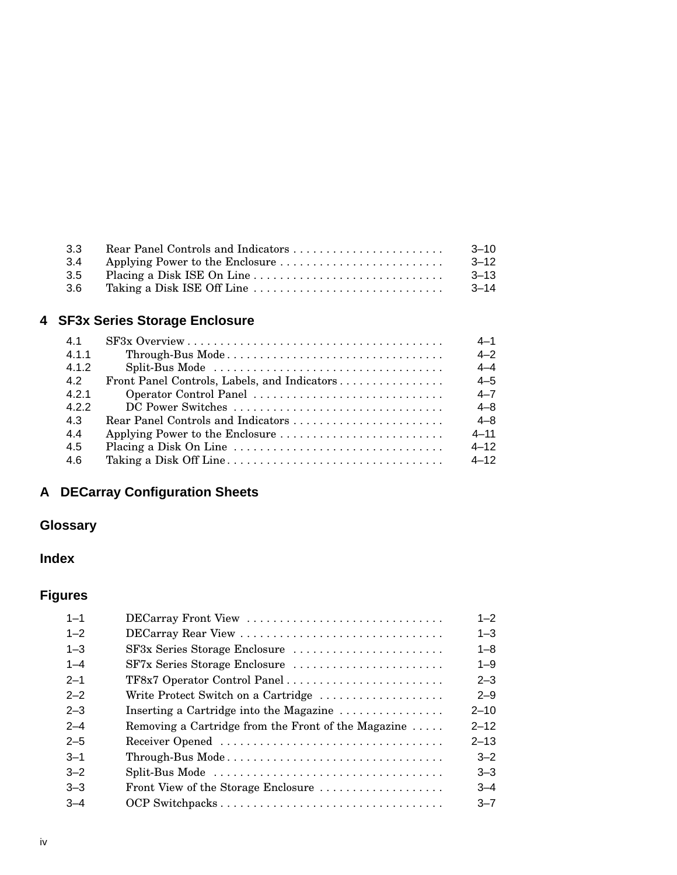| 3.3  | $-3-10$   |
|------|-----------|
| 3.4  | $3 - 12$  |
| 3.5  | $-3-13$   |
| -3.6 | $-3 - 14$ |

## **4 SF3x Series Storage Enclosure**

| 41    |                                              | $4 - 1$  |
|-------|----------------------------------------------|----------|
| 4.1.1 | Through-Bus Mode                             | $4 - 2$  |
| 412   |                                              | $4 - 4$  |
| 4.2   | Front Panel Controls, Labels, and Indicators | $4 - 5$  |
| 421   | Operator Control Panel                       | $4 - 7$  |
| 4.2.2 |                                              | $4 - 8$  |
| 4.3   |                                              | $4 - 8$  |
| 4.4   |                                              | $4 - 11$ |
| 4.5   |                                              | $4 - 12$ |
| 4.6   |                                              | $4 - 12$ |

## **A DECarray Configuration Sheets**

## **Glossary**

## **Index**

## **Figures**

| DECarray Front View                                                                      | $1 - 2$  |
|------------------------------------------------------------------------------------------|----------|
| DECarray Rear View                                                                       | $1 - 3$  |
| SF3x Series Storage Enclosure                                                            | $1 - 8$  |
| SF7x Series Storage Enclosure                                                            | $1 - 9$  |
|                                                                                          | $2 - 3$  |
| Write Protect Switch on a Cartridge                                                      | $2 - 9$  |
| Inserting a Cartridge into the Magazine                                                  | $2 - 10$ |
| Removing a Cartridge from the Front of the Magazine $\dots$ .                            | $2 - 12$ |
|                                                                                          | $2 - 13$ |
| $Through-Bus Mode \ldots \ldots \ldots \ldots \ldots \ldots \ldots \ldots \ldots \ldots$ | $3 - 2$  |
| Split-Bus Mode                                                                           | $3 - 3$  |
| Front View of the Storage Enclosure                                                      | $3 - 4$  |
| OCP Switchpacks                                                                          | $3 - 7$  |
|                                                                                          |          |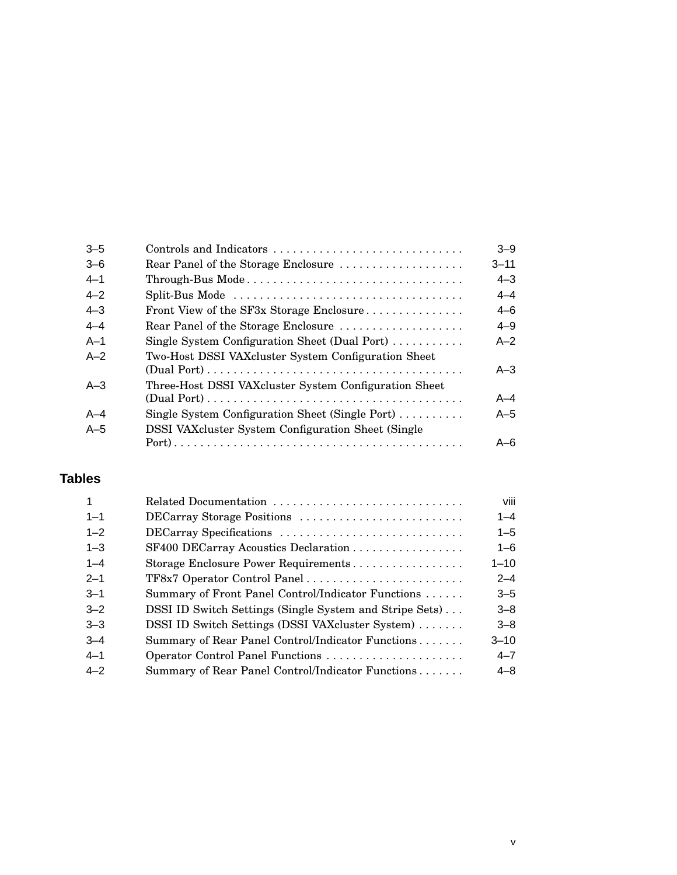|                                                                                          | $3 - 9$                 |
|------------------------------------------------------------------------------------------|-------------------------|
| Rear Panel of the Storage Enclosure                                                      | $3 - 11$                |
| $Through-Bus Mode \ldots \ldots \ldots \ldots \ldots \ldots \ldots \ldots \ldots \ldots$ | $4 - 3$                 |
| Split-Bus Mode                                                                           | $4 - 4$                 |
| Front View of the SF3x Storage Enclosure                                                 | $4 - 6$                 |
| Rear Panel of the Storage Enclosure                                                      | $4 - 9$                 |
| Single System Configuration Sheet (Dual Port)                                            | $A - 2$                 |
| Two-Host DSSI VAX cluster System Configuration Sheet                                     | $A - 3$                 |
| Three-Host DSSI VAX cluster System Configuration Sheet                                   |                         |
|                                                                                          | $A - 4$                 |
| Single System Configuration Sheet (Single Port) $\dots \dots$                            | $A-5$                   |
| <b>DSSI VAX</b> cluster System Configuration Sheet (Single)                              |                         |
|                                                                                          | $A - 6$                 |
|                                                                                          | Controls and Indicators |

## **Tables**

|         | Related Documentation                                   | viii     |
|---------|---------------------------------------------------------|----------|
| $1 - 1$ | DECarray Storage Positions                              | $1 - 4$  |
| $1 - 2$ | DECarray Specifications                                 | $1 - 5$  |
| $1 - 3$ | SF400 DECarray Acoustics Declaration                    | $1 - 6$  |
| $1 - 4$ | Storage Enclosure Power Requirements                    | $1 - 10$ |
| $2 - 1$ | TF8x7 Operator Control Panel                            | $2 - 4$  |
| $3 - 1$ | Summary of Front Panel Control/Indicator Functions      | $3 - 5$  |
| $3 - 2$ | DSSI ID Switch Settings (Single System and Stripe Sets) | $3 - 8$  |
| $3 - 3$ | DSSI ID Switch Settings (DSSI VAXcluster System)        | $3 - 8$  |
| $-3-4$  | Summary of Rear Panel Control/Indicator Functions       | $3 - 10$ |
| $4 - 1$ |                                                         | $4 - 7$  |
| $4 - 2$ | Summary of Rear Panel Control/Indicator Functions       | $4 - 8$  |
|         |                                                         |          |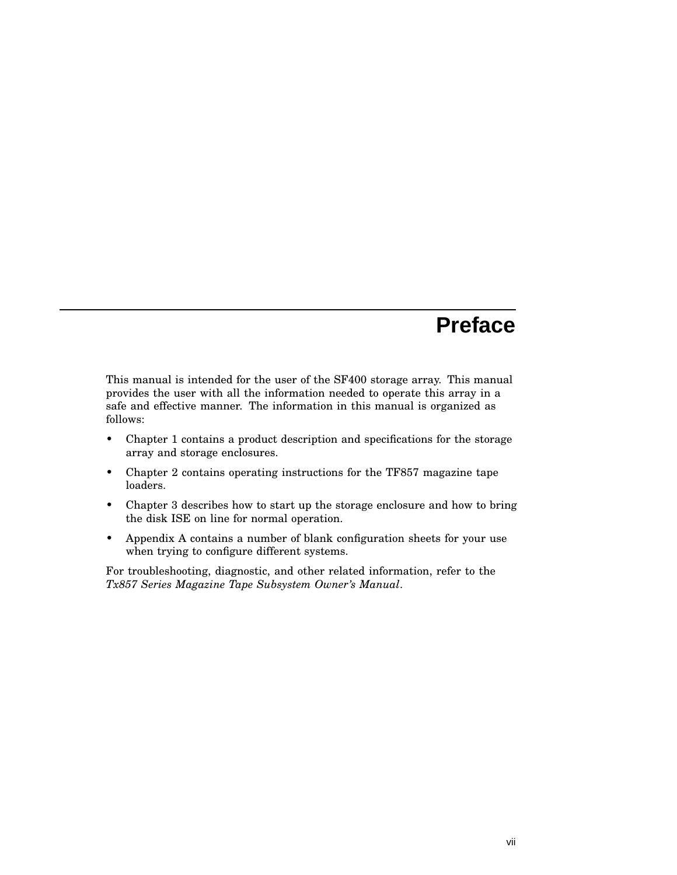# **Preface**

This manual is intended for the user of the SF400 storage array. This manual provides the user with all the information needed to operate this array in a safe and effective manner. The information in this manual is organized as follows:

- Chapter 1 contains a product description and specifications for the storage array and storage enclosures.
- Chapter 2 contains operating instructions for the TF857 magazine tape loaders.
- Chapter 3 describes how to start up the storage enclosure and how to bring the disk ISE on line for normal operation.
- Appendix A contains a number of blank configuration sheets for your use when trying to configure different systems.

For troubleshooting, diagnostic, and other related information, refer to the *Tx857 Series Magazine Tape Subsystem Owner's Manual*.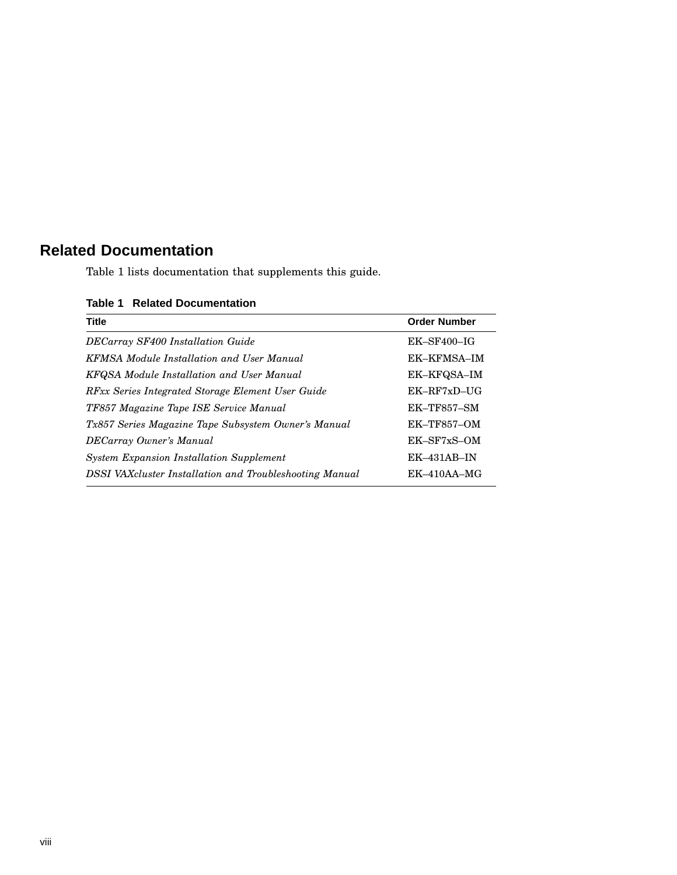## **Related Documentation**

Table 1 lists documentation that supplements this guide.

#### **Table 1 Related Documentation**

| <b>Title</b>                                            | <b>Order Number</b> |
|---------------------------------------------------------|---------------------|
| DECarray SF400 Installation Guide                       | $EK$ -SF400-IG      |
| <b>KFMSA Module Installation and User Manual</b>        | EK-KFMSA-IM         |
| KFQSA Module Installation and User Manual               | EK-KFQSA-IM         |
| RFxx Series Integrated Storage Element User Guide       | $EK-RF7xD-UG$       |
| TF857 Magazine Tape ISE Service Manual                  | $EK$ -TF857-SM      |
| Tx857 Series Magazine Tape Subsystem Owner's Manual     | <b>EK-TF857-OM</b>  |
| DECarray Owner's Manual                                 | $EK$ -SF7xS-OM      |
| <b>System Expansion Installation Supplement</b>         | $EK-431AB-IN$       |
| DSSI VAXcluster Installation and Troubleshooting Manual | $EK-410AA-MG$       |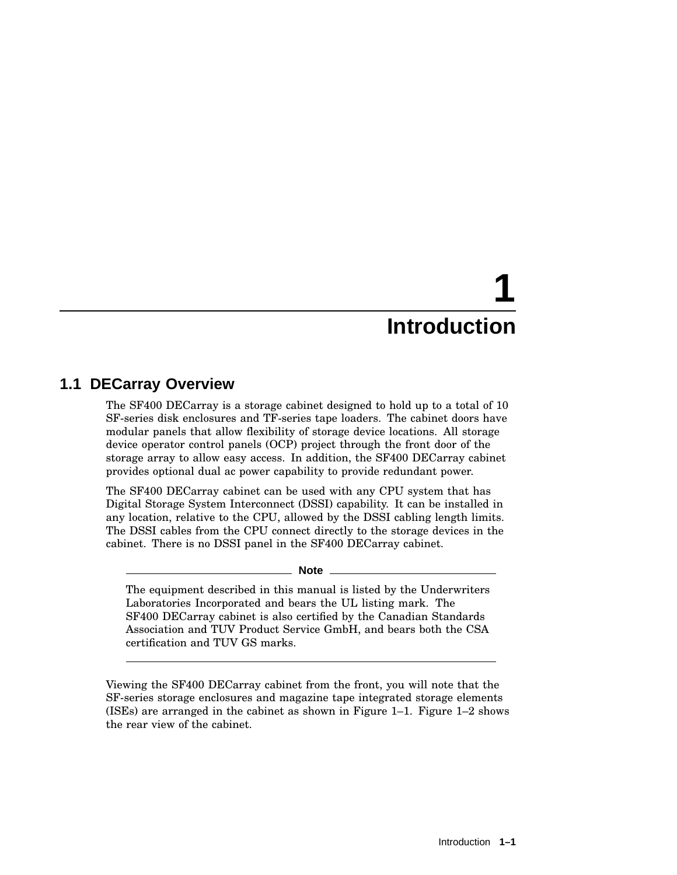# **1 Introduction**

## **1.1 DECarray Overview**

The SF400 DECarray is a storage cabinet designed to hold up to a total of 10 SF-series disk enclosures and TF-series tape loaders. The cabinet doors have modular panels that allow flexibility of storage device locations. All storage device operator control panels (OCP) project through the front door of the storage array to allow easy access. In addition, the SF400 DECarray cabinet provides optional dual ac power capability to provide redundant power.

The SF400 DECarray cabinet can be used with any CPU system that has Digital Storage System Interconnect (DSSI) capability. It can be installed in any location, relative to the CPU, allowed by the DSSI cabling length limits. The DSSI cables from the CPU connect directly to the storage devices in the cabinet. There is no DSSI panel in the SF400 DECarray cabinet.

**Note**

The equipment described in this manual is listed by the Underwriters Laboratories Incorporated and bears the UL listing mark. The SF400 DECarray cabinet is also certified by the Canadian Standards Association and TUV Product Service GmbH, and bears both the CSA certification and TUV GS marks.

Viewing the SF400 DECarray cabinet from the front, you will note that the SF-series storage enclosures and magazine tape integrated storage elements (ISEs) are arranged in the cabinet as shown in Figure 1–1. Figure 1–2 shows the rear view of the cabinet.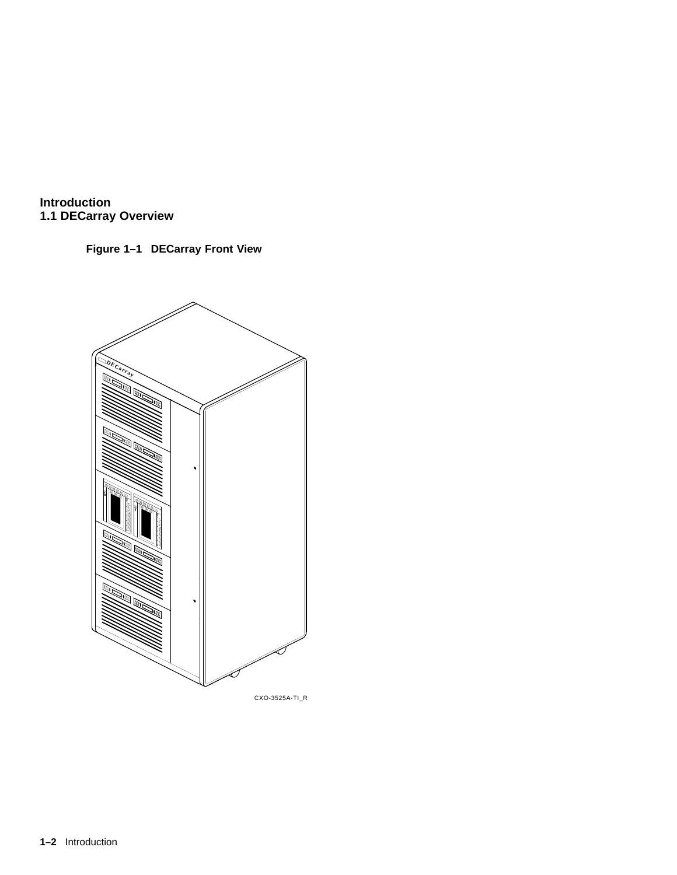

**Figure 1–1 DECarray Front View**



CXO-3525A-TI\_R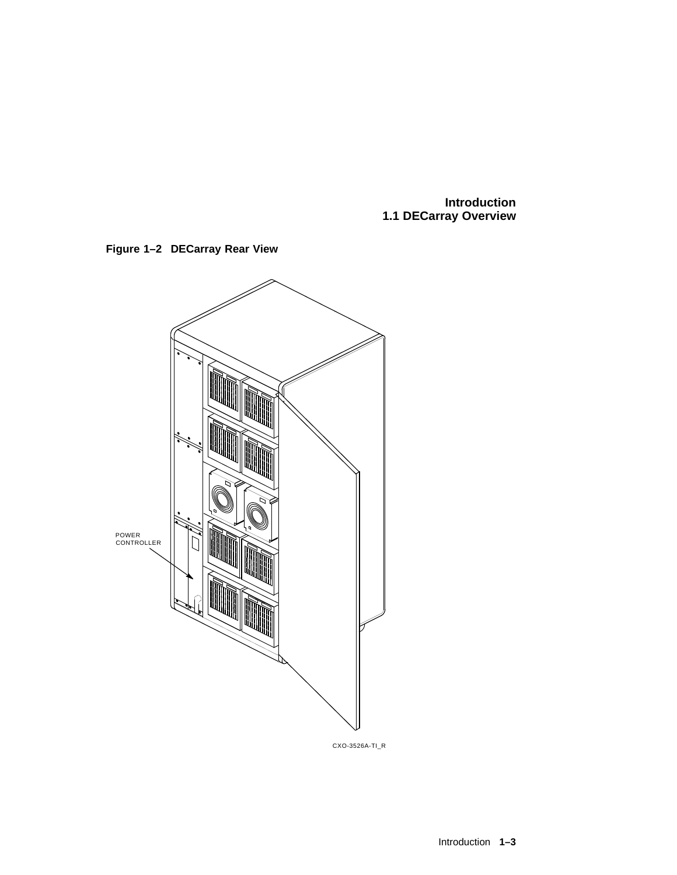



CXO-3526A-TI\_R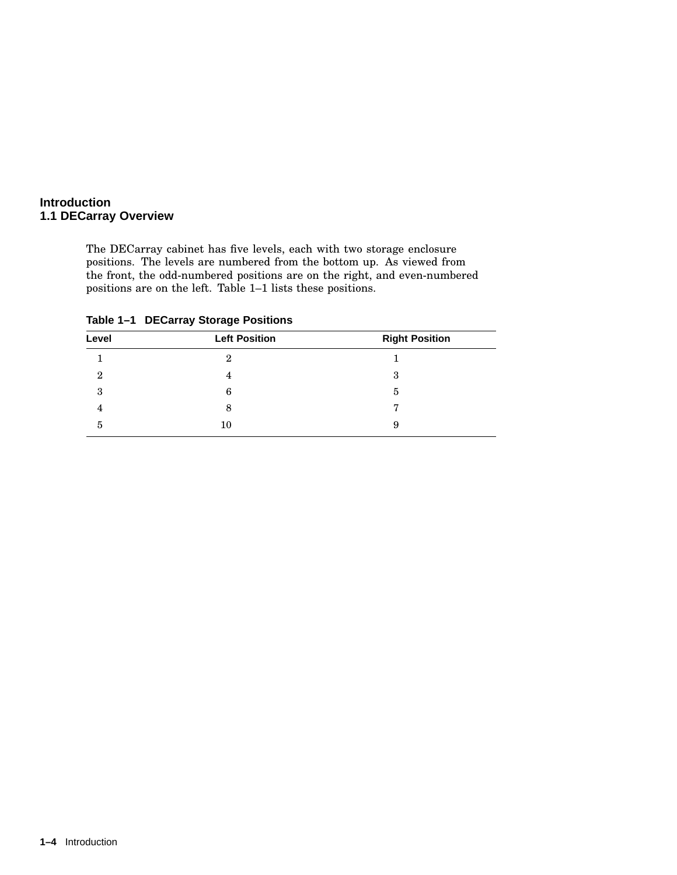The DECarray cabinet has five levels, each with two storage enclosure positions. The levels are numbered from the bottom up. As viewed from the front, the odd-numbered positions are on the right, and even-numbered positions are on the left. Table 1–1 lists these positions.

| Level          | <b>Left Position</b> | <b>Right Position</b> |
|----------------|----------------------|-----------------------|
|                | 2                    |                       |
| $\overline{2}$ | 4                    | 3                     |
| 3              | 6                    | 5                     |
| 4              | 8                    | −                     |
| 5              | 10                   | 9                     |

**Table 1–1 DECarray Storage Positions**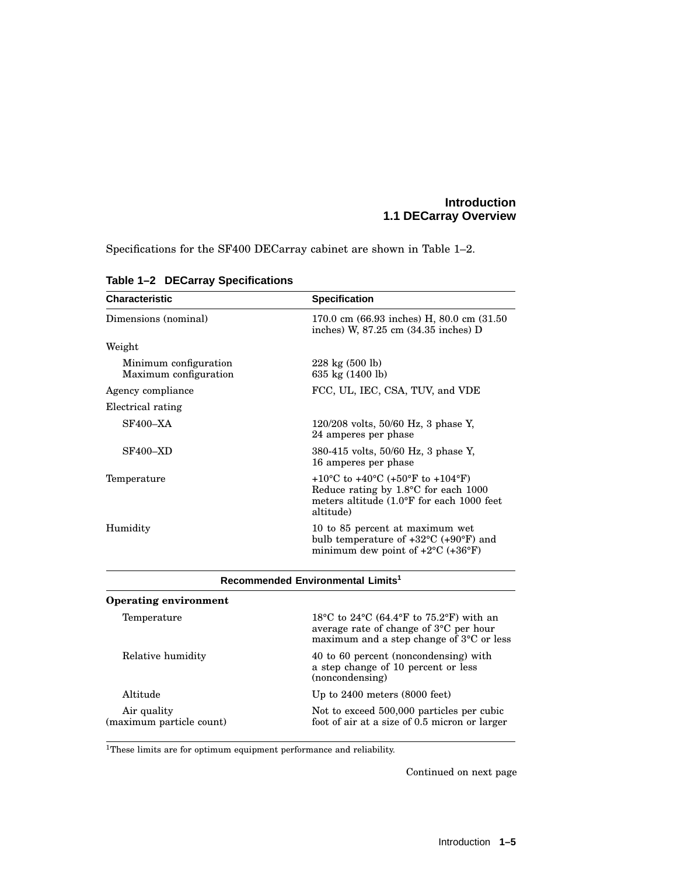Specifications for the SF400 DECarray cabinet are shown in Table 1–2.

| <b>Characteristic</b>                          | <b>Specification</b>                                                                                                                                   |
|------------------------------------------------|--------------------------------------------------------------------------------------------------------------------------------------------------------|
| Dimensions (nominal)                           | 170.0 cm (66.93 inches) H, 80.0 cm (31.50<br>inches) W, $87.25$ cm $(34.35$ inches) D                                                                  |
| Weight                                         |                                                                                                                                                        |
| Minimum configuration<br>Maximum configuration | $228 \text{ kg} (500 \text{ lb})$<br>635 kg (1400 lb)                                                                                                  |
| Agency compliance                              | FCC, UL, IEC, CSA, TUV, and VDE                                                                                                                        |
| Electrical rating                              |                                                                                                                                                        |
| <b>SF400-XA</b>                                | $120/208$ volts, 50/60 Hz, 3 phase Y,<br>24 amperes per phase                                                                                          |
| <b>SF400-XD</b>                                | 380-415 volts, 50/60 Hz, 3 phase Y,<br>16 amperes per phase                                                                                            |
| Temperature                                    | +10°C to +40°C (+50°F to +104°F)<br>Reduce rating by $1.8^{\circ}$ C for each 1000<br>meters altitude (1.0°F for each 1000 feet<br>altitude)           |
| Humidity                                       | 10 to 85 percent at maximum wet<br>bulb temperature of $+32^{\circ}$ C ( $+90^{\circ}$ F) and<br>minimum dew point of $+2^{\circ}C$ ( $+36^{\circ}F$ ) |
|                                                | Recommended Environmental Limits <sup>1</sup>                                                                                                          |
| <b>Operating environment</b>                   |                                                                                                                                                        |
| Temperature                                    | 18 °C to 24 °C (64.4 °F to 75.2 °F) with an<br>average rate of change of 3°C per hour<br>maximum and a step change of $3^{\circ}$ C or less            |
| Relative humidity                              | 40 to 60 percent (noncondensing) with<br>a step change of 10 percent or less<br>(noncondensing)                                                        |
| Altitude                                       | Up to $2400$ meters $(8000$ feet)                                                                                                                      |

#### **Table 1–2 DECarray Specifications**

 $^{\rm 1}$  These limits are for optimum equipment performance and reliability.

Air quality (maximum particle count)

Continued on next page

Not to exceed 500,000 particles per cubic foot of air at a size of 0.5 micron or larger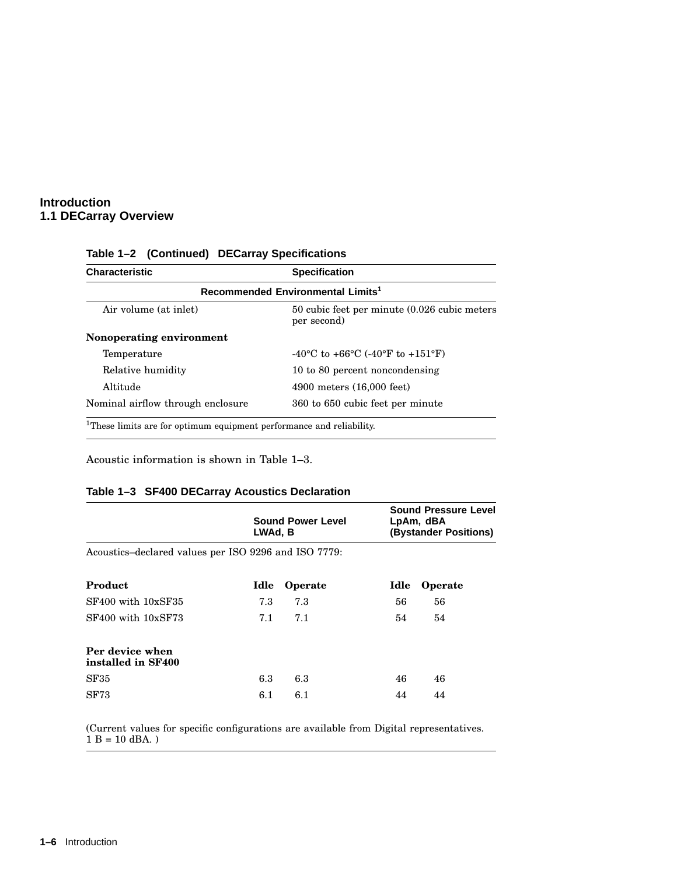| <b>Characteristic</b>                                                            | <b>Specification</b>                                        |  |  |
|----------------------------------------------------------------------------------|-------------------------------------------------------------|--|--|
| Recommended Environmental Limits <sup>1</sup>                                    |                                                             |  |  |
| Air volume (at inlet)                                                            | 50 cubic feet per minute (0.026 cubic meters<br>per second) |  |  |
| Nonoperating environment                                                         |                                                             |  |  |
| Temperature                                                                      | -40 °C to +66 °C (-40 °F to +151 °F)                        |  |  |
| Relative humidity                                                                | 10 to 80 percent noncondensing                              |  |  |
| Altitude                                                                         | 4900 meters (16,000 feet)                                   |  |  |
| Nominal airflow through enclosure                                                | 360 to 650 cubic feet per minute                            |  |  |
| <sup>1</sup> These limits are for optimum equipment performance and reliability. |                                                             |  |  |

#### **Table 1–2 (Continued) DECarray Specifications**

Acoustic information is shown in Table 1–3.

#### **Table 1–3 SF400 DECarray Acoustics Declaration**

|                                                      | <b>Sound Power Level</b><br>LWAd, B |         |      | <b>Sound Pressure Level</b><br>LpAm, dBA<br>(Bystander Positions) |  |
|------------------------------------------------------|-------------------------------------|---------|------|-------------------------------------------------------------------|--|
| Acoustics-declared values per ISO 9296 and ISO 7779: |                                     |         |      |                                                                   |  |
| Product                                              | Idle                                | Operate | Idle | Operate                                                           |  |
| SF400 with 10xSF35                                   | 7.3                                 | 7.3     | 56   | 56                                                                |  |
| SF400 with 10xSF73                                   | 7.1                                 | 7.1     | 54   | 54                                                                |  |
| Per device when<br>installed in SF400                |                                     |         |      |                                                                   |  |
| SF35                                                 | 6.3                                 | 6.3     | 46   | 46                                                                |  |
| <b>SF73</b>                                          | 6.1                                 | 6.1     | 44   | 44                                                                |  |

(Current values for specific configurations are available from Digital representatives.  $1 B = 10$  dBA.)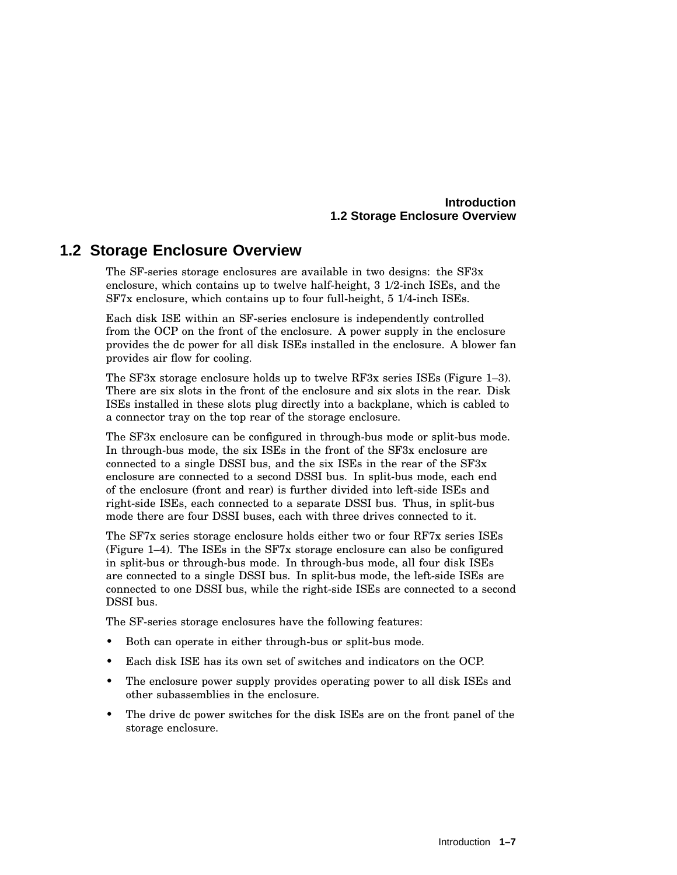#### **Introduction 1.2 Storage Enclosure Overview**

## **1.2 Storage Enclosure Overview**

The SF-series storage enclosures are available in two designs: the SF3x enclosure, which contains up to twelve half-height, 3 1/2-inch ISEs, and the SF7x enclosure, which contains up to four full-height, 5 1/4-inch ISEs.

Each disk ISE within an SF-series enclosure is independently controlled from the OCP on the front of the enclosure. A power supply in the enclosure provides the dc power for all disk ISEs installed in the enclosure. A blower fan provides air flow for cooling.

The SF3x storage enclosure holds up to twelve RF3x series ISEs (Figure 1–3). There are six slots in the front of the enclosure and six slots in the rear. Disk ISEs installed in these slots plug directly into a backplane, which is cabled to a connector tray on the top rear of the storage enclosure.

The SF3x enclosure can be configured in through-bus mode or split-bus mode. In through-bus mode, the six ISEs in the front of the SF3x enclosure are connected to a single DSSI bus, and the six ISEs in the rear of the SF3x enclosure are connected to a second DSSI bus. In split-bus mode, each end of the enclosure (front and rear) is further divided into left-side ISEs and right-side ISEs, each connected to a separate DSSI bus. Thus, in split-bus mode there are four DSSI buses, each with three drives connected to it.

The SF7x series storage enclosure holds either two or four RF7x series ISEs (Figure 1–4). The ISEs in the SF7x storage enclosure can also be configured in split-bus or through-bus mode. In through-bus mode, all four disk ISEs are connected to a single DSSI bus. In split-bus mode, the left-side ISEs are connected to one DSSI bus, while the right-side ISEs are connected to a second DSSI bus.

The SF-series storage enclosures have the following features:

- Both can operate in either through-bus or split-bus mode.
- Each disk ISE has its own set of switches and indicators on the OCP.
- The enclosure power supply provides operating power to all disk ISEs and other subassemblies in the enclosure.
- The drive dc power switches for the disk ISEs are on the front panel of the storage enclosure.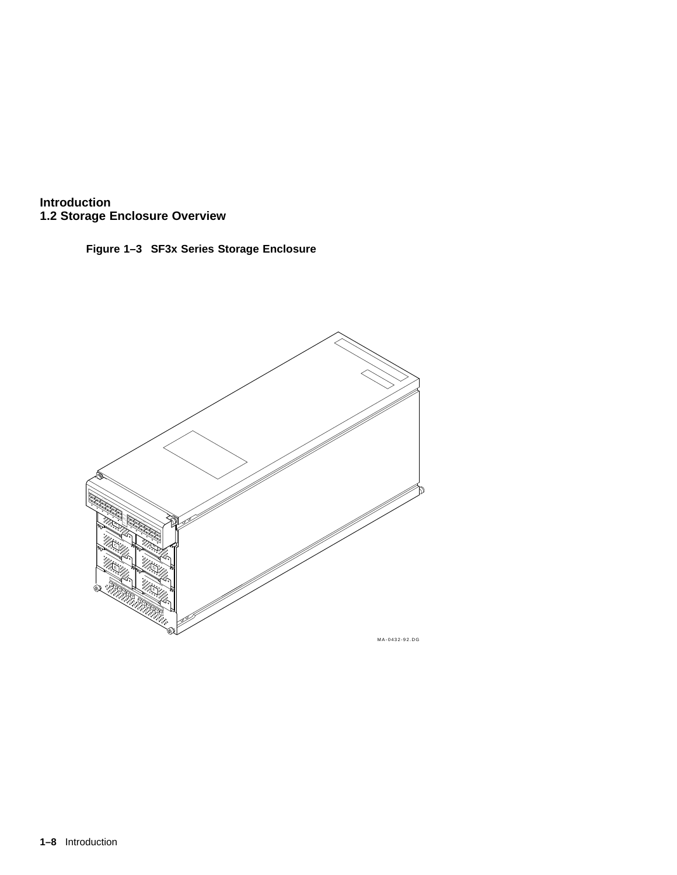



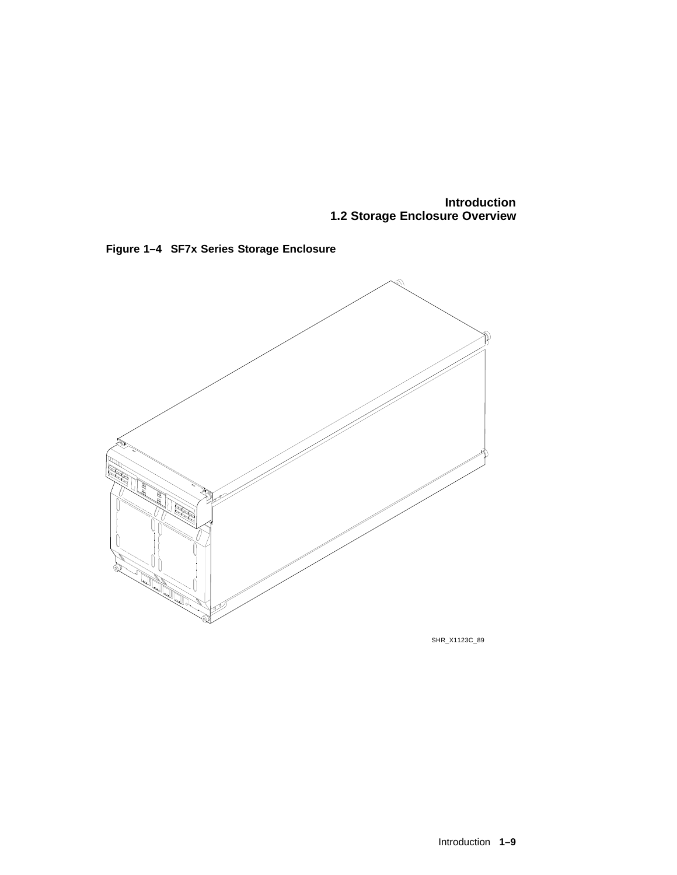**Introduction 1.2 Storage Enclosure Overview**





SHR\_X1123C\_89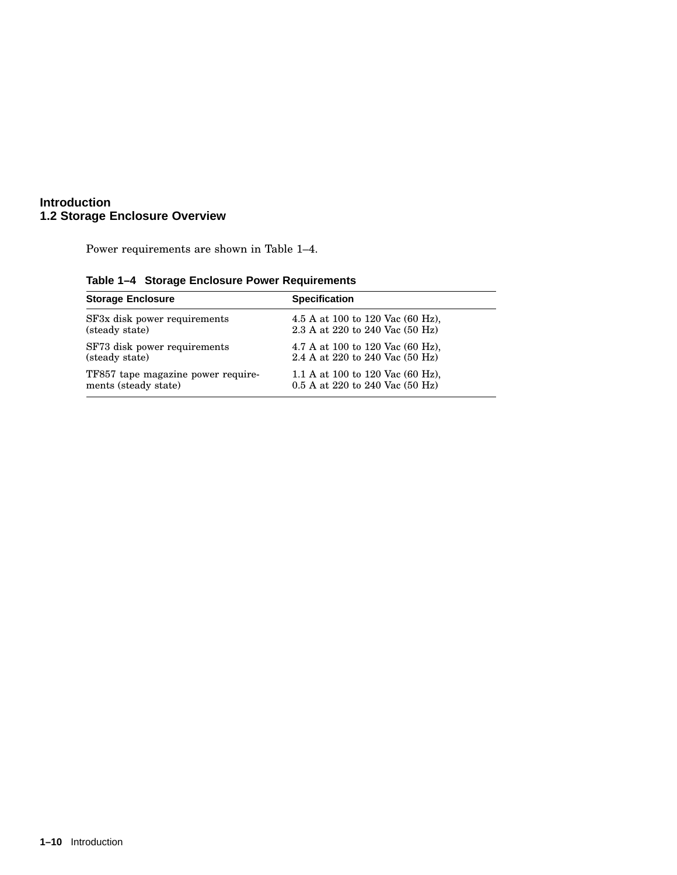#### **Introduction 1.2 Storage Enclosure Overview**

Power requirements are shown in Table 1–4.

| <b>Storage Enclosure</b>           | <b>Specification</b>                        |
|------------------------------------|---------------------------------------------|
| SF3x disk power requirements       | 4.5 A at 100 to 120 Vac $(60 \text{ Hz})$ , |
| (steady state)                     | 2.3 A at 220 to 240 Vac (50 Hz)             |
| SF73 disk power requirements       | 4.7 A at 100 to 120 Vac $(60 \text{ Hz})$ , |
| (steady state)                     | 2.4 A at 220 to 240 Vac (50 Hz)             |
| TF857 tape magazine power require- | 1.1 A at 100 to 120 Vac $(60 \text{ Hz})$ , |
| ments (steady state)               | $0.5$ A at 220 to 240 Vac (50 Hz)           |

**Table 1–4 Storage Enclosure Power Requirements**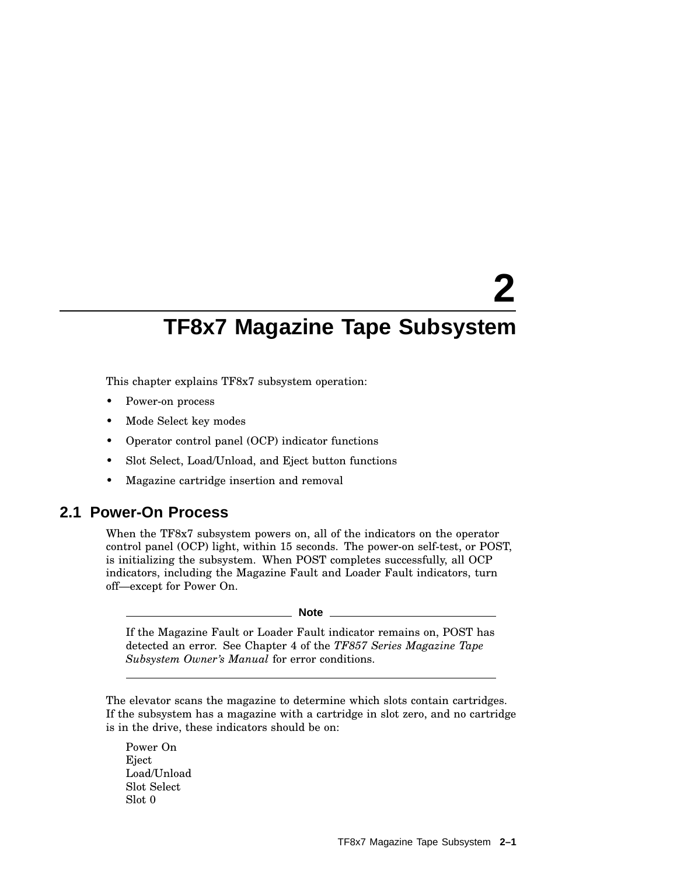# **2**

# **TF8x7 Magazine Tape Subsystem**

This chapter explains TF8x7 subsystem operation:

- Power-on process
- Mode Select key modes
- Operator control panel (OCP) indicator functions
- Slot Select, Load/Unload, and Eject button functions
- Magazine cartridge insertion and removal

### **2.1 Power-On Process**

When the TF8x7 subsystem powers on, all of the indicators on the operator control panel (OCP) light, within 15 seconds. The power-on self-test, or POST, is initializing the subsystem. When POST completes successfully, all OCP indicators, including the Magazine Fault and Loader Fault indicators, turn off—except for Power On.

**Note**

If the Magazine Fault or Loader Fault indicator remains on, POST has detected an error. See Chapter 4 of the *TF857 Series Magazine Tape Subsystem Owner's Manual* for error conditions.

The elevator scans the magazine to determine which slots contain cartridges. If the subsystem has a magazine with a cartridge in slot zero, and no cartridge is in the drive, these indicators should be on:

Power On Eject Load/Unload Slot Select Slot 0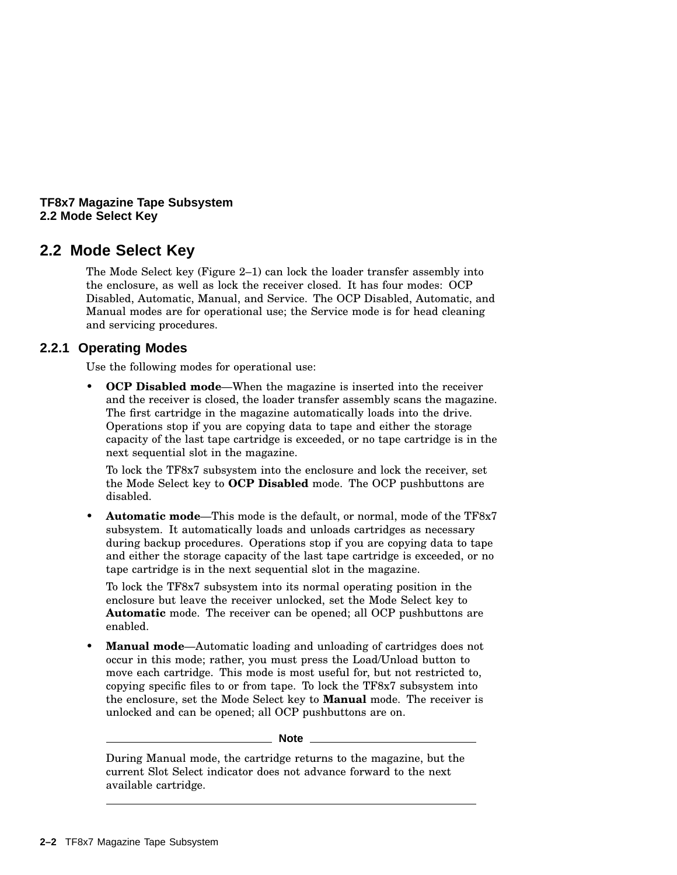#### **TF8x7 Magazine Tape Subsystem 2.2 Mode Select Key**

## **2.2 Mode Select Key**

The Mode Select key (Figure 2–1) can lock the loader transfer assembly into the enclosure, as well as lock the receiver closed. It has four modes: OCP Disabled, Automatic, Manual, and Service. The OCP Disabled, Automatic, and Manual modes are for operational use; the Service mode is for head cleaning and servicing procedures.

#### **2.2.1 Operating Modes**

Use the following modes for operational use:

• **OCP Disabled mode**—When the magazine is inserted into the receiver and the receiver is closed, the loader transfer assembly scans the magazine. The first cartridge in the magazine automatically loads into the drive. Operations stop if you are copying data to tape and either the storage capacity of the last tape cartridge is exceeded, or no tape cartridge is in the next sequential slot in the magazine.

To lock the TF8x7 subsystem into the enclosure and lock the receiver, set the Mode Select key to **OCP Disabled** mode. The OCP pushbuttons are disabled.

• **Automatic mode**—This mode is the default, or normal, mode of the TF8x7 subsystem. It automatically loads and unloads cartridges as necessary during backup procedures. Operations stop if you are copying data to tape and either the storage capacity of the last tape cartridge is exceeded, or no tape cartridge is in the next sequential slot in the magazine.

To lock the TF8x7 subsystem into its normal operating position in the enclosure but leave the receiver unlocked, set the Mode Select key to **Automatic** mode. The receiver can be opened; all OCP pushbuttons are enabled.

• **Manual mode**—Automatic loading and unloading of cartridges does not occur in this mode; rather, you must press the Load/Unload button to move each cartridge. This mode is most useful for, but not restricted to, copying specific files to or from tape. To lock the TF8x7 subsystem into the enclosure, set the Mode Select key to **Manual** mode. The receiver is unlocked and can be opened; all OCP pushbuttons are on.

**Note**

During Manual mode, the cartridge returns to the magazine, but the current Slot Select indicator does not advance forward to the next available cartridge.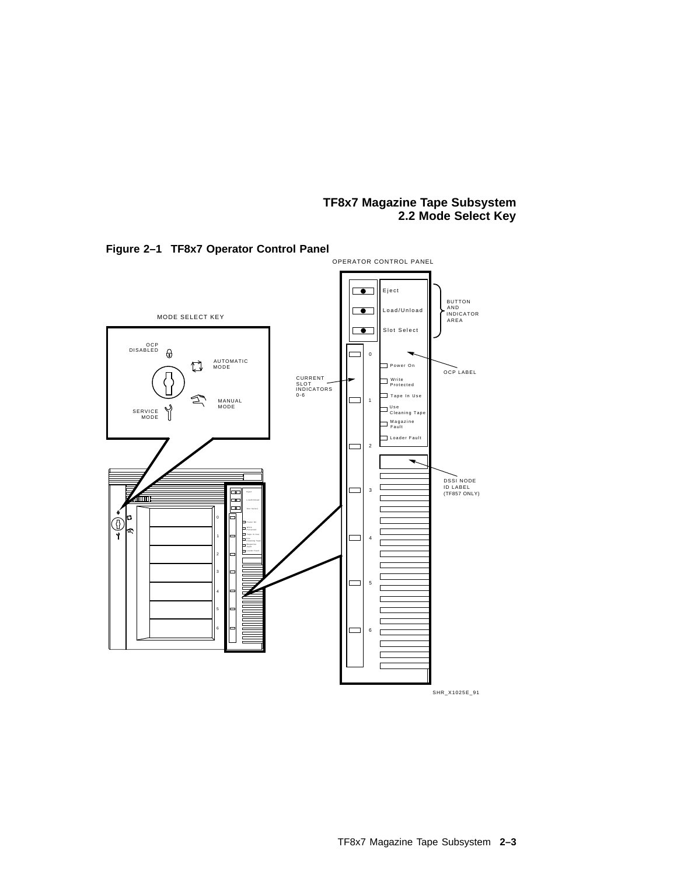#### **TF8x7 Magazine Tape Subsystem 2.2 Mode Select Key**



**Figure 2–1 TF8x7 Operator Control Panel**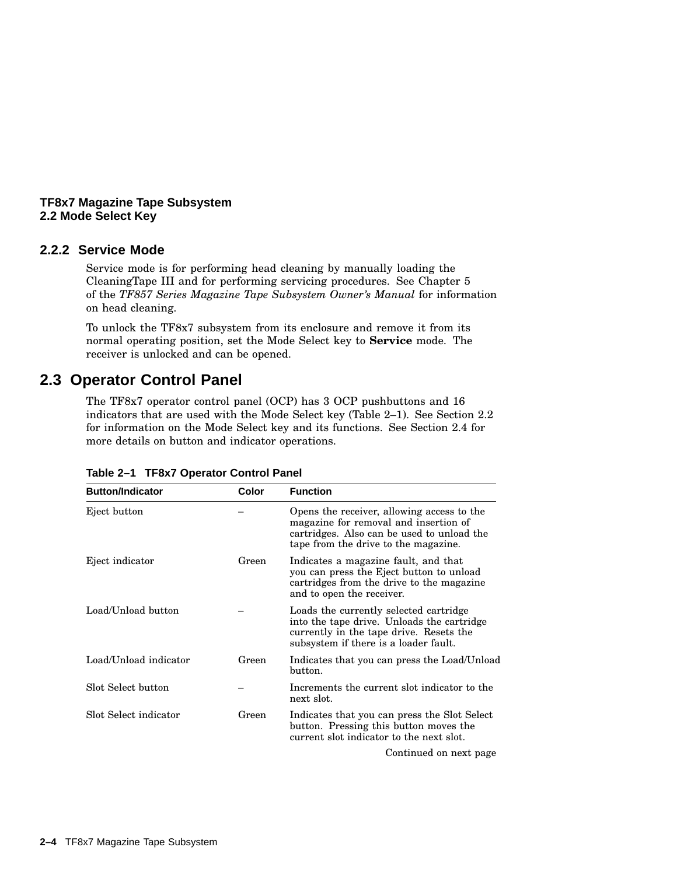#### **TF8x7 Magazine Tape Subsystem 2.2 Mode Select Key**

#### **2.2.2 Service Mode**

Service mode is for performing head cleaning by manually loading the CleaningTape III and for performing servicing procedures. See Chapter 5 of the *TF857 Series Magazine Tape Subsystem Owner's Manual* for information on head cleaning.

To unlock the TF8x7 subsystem from its enclosure and remove it from its normal operating position, set the Mode Select key to **Service** mode. The receiver is unlocked and can be opened.

### **2.3 Operator Control Panel**

The TF8x7 operator control panel (OCP) has 3 OCP pushbuttons and 16 indicators that are used with the Mode Select key (Table 2–1). See Section 2.2 for information on the Mode Select key and its functions. See Section 2.4 for more details on button and indicator operations.

| <b>Button/Indicator</b> | Color | <b>Function</b>                                                                                                                                                           |
|-------------------------|-------|---------------------------------------------------------------------------------------------------------------------------------------------------------------------------|
| Eject button            |       | Opens the receiver, allowing access to the<br>magazine for removal and insertion of<br>cartridges. Also can be used to unload the<br>tape from the drive to the magazine. |
| Eject indicator         | Green | Indicates a magazine fault, and that<br>you can press the Eject button to unload<br>cartridges from the drive to the magazine<br>and to open the receiver.                |
| Load/Unload button      |       | Loads the currently selected cartridge<br>into the tape drive. Unloads the cartridge<br>currently in the tape drive. Resets the<br>subsystem if there is a loader fault.  |
| Load/Unload indicator   | Green | Indicates that you can press the Load/Unload<br>button.                                                                                                                   |
| Slot Select button      |       | Increments the current slot indicator to the<br>next slot.                                                                                                                |
| Slot Select indicator   | Green | Indicates that you can press the Slot Select<br>button. Pressing this button moves the<br>current slot indicator to the next slot.                                        |
|                         |       | Continued on next page                                                                                                                                                    |

| Table 2-1 TF8x7 Operator Control Panel |  |  |
|----------------------------------------|--|--|
|                                        |  |  |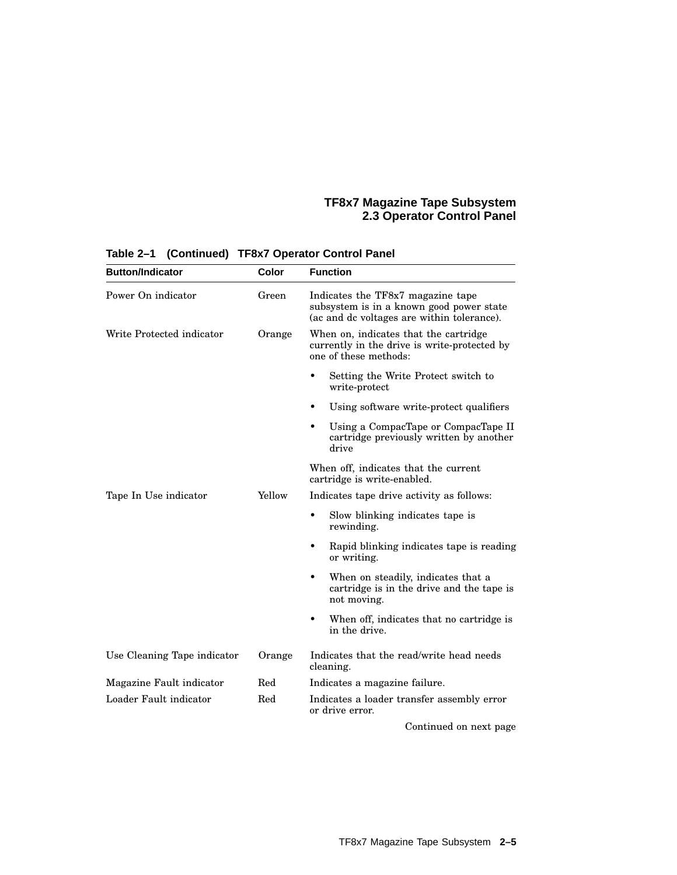#### **TF8x7 Magazine Tape Subsystem 2.3 Operator Control Panel**

| <b>Button/Indicator</b>     | Color  | <b>Function</b>                                                                                                             |
|-----------------------------|--------|-----------------------------------------------------------------------------------------------------------------------------|
| Power On indicator          | Green  | Indicates the TF8x7 magazine tape<br>subsystem is in a known good power state<br>(ac and de voltages are within tolerance). |
| Write Protected indicator   | Orange | When on, indicates that the cartridge<br>currently in the drive is write-protected by<br>one of these methods:              |
|                             |        | Setting the Write Protect switch to<br>write-protect                                                                        |
|                             |        | Using software write-protect qualifiers                                                                                     |
|                             |        | Using a CompacTape or CompacTape II<br>$\bullet$<br>cartridge previously written by another<br>drive                        |
|                             |        | When off, indicates that the current<br>cartridge is write-enabled.                                                         |
| Tape In Use indicator       | Yellow | Indicates tape drive activity as follows:                                                                                   |
|                             |        | Slow blinking indicates tape is<br>rewinding.                                                                               |
|                             |        | $\bullet$<br>Rapid blinking indicates tape is reading<br>or writing.                                                        |
|                             |        | $\bullet$<br>When on steadily, indicates that a<br>cartridge is in the drive and the tape is<br>not moving.                 |
|                             |        | When off, indicates that no cartridge is<br>٠<br>in the drive.                                                              |
| Use Cleaning Tape indicator | Orange | Indicates that the read/write head needs<br>cleaning.                                                                       |
| Magazine Fault indicator    | Red    | Indicates a magazine failure.                                                                                               |
| Loader Fault indicator      | Red    | Indicates a loader transfer assembly error<br>or drive error.                                                               |
|                             |        | Continued on next page                                                                                                      |

## **Table 2–1 (Continued) TF8x7 Operator Control Panel**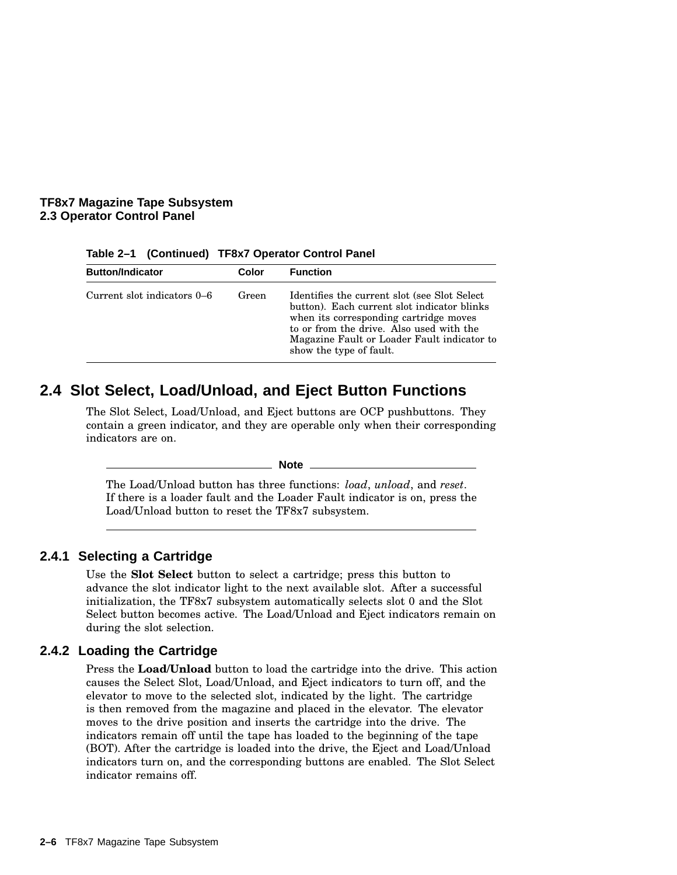#### **TF8x7 Magazine Tape Subsystem 2.3 Operator Control Panel**

| <b>Button/Indicator</b>     | Color | <b>Function</b>                                                                                                                                                                                                                                              |
|-----------------------------|-------|--------------------------------------------------------------------------------------------------------------------------------------------------------------------------------------------------------------------------------------------------------------|
| Current slot indicators 0–6 | Green | Identifies the current slot (see Slot Select)<br>button). Each current slot indicator blinks<br>when its corresponding cartridge moves<br>to or from the drive. Also used with the<br>Magazine Fault or Loader Fault indicator to<br>show the type of fault. |

#### **Table 2–1 (Continued) TF8x7 Operator Control Panel**

## **2.4 Slot Select, Load/Unload, and Eject Button Functions**

The Slot Select, Load/Unload, and Eject buttons are OCP pushbuttons. They contain a green indicator, and they are operable only when their corresponding indicators are on.

**Note**

The Load/Unload button has three functions: *load*, *unload*, and *reset*. If there is a loader fault and the Loader Fault indicator is on, press the Load/Unload button to reset the TF8x7 subsystem.

#### **2.4.1 Selecting a Cartridge**

Use the **Slot Select** button to select a cartridge; press this button to advance the slot indicator light to the next available slot. After a successful initialization, the TF8x7 subsystem automatically selects slot 0 and the Slot Select button becomes active. The Load/Unload and Eject indicators remain on during the slot selection.

#### **2.4.2 Loading the Cartridge**

Press the **Load/Unload** button to load the cartridge into the drive. This action causes the Select Slot, Load/Unload, and Eject indicators to turn off, and the elevator to move to the selected slot, indicated by the light. The cartridge is then removed from the magazine and placed in the elevator. The elevator moves to the drive position and inserts the cartridge into the drive. The indicators remain off until the tape has loaded to the beginning of the tape (BOT). After the cartridge is loaded into the drive, the Eject and Load/Unload indicators turn on, and the corresponding buttons are enabled. The Slot Select indicator remains off.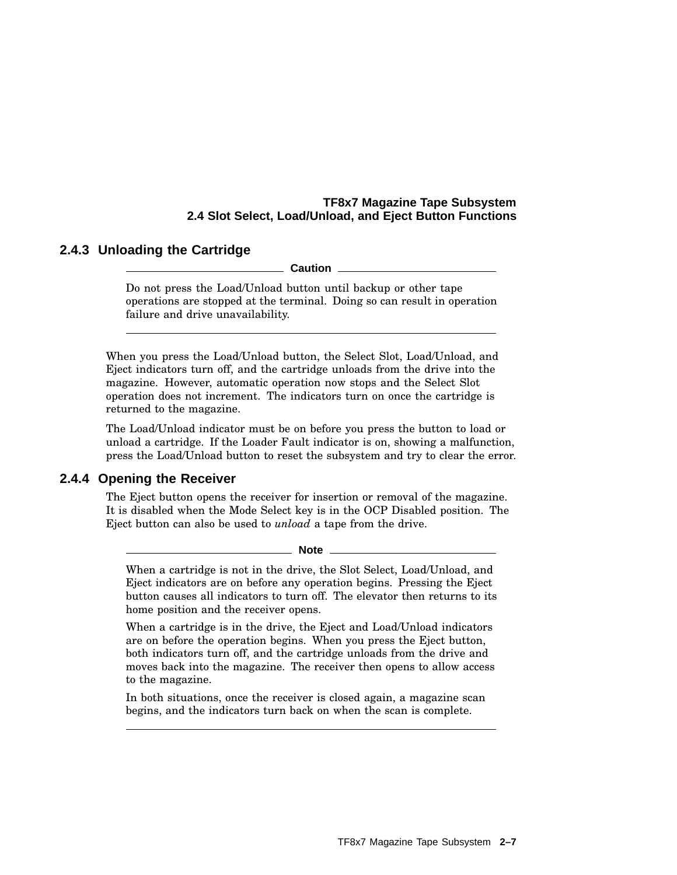#### **TF8x7 Magazine Tape Subsystem 2.4 Slot Select, Load/Unload, and Eject Button Functions**

#### **2.4.3 Unloading the Cartridge**

**Caution**

Do not press the Load/Unload button until backup or other tape operations are stopped at the terminal. Doing so can result in operation failure and drive unavailability.

When you press the Load/Unload button, the Select Slot, Load/Unload, and Eject indicators turn off, and the cartridge unloads from the drive into the magazine. However, automatic operation now stops and the Select Slot operation does not increment. The indicators turn on once the cartridge is returned to the magazine.

The Load/Unload indicator must be on before you press the button to load or unload a cartridge. If the Loader Fault indicator is on, showing a malfunction, press the Load/Unload button to reset the subsystem and try to clear the error.

#### **2.4.4 Opening the Receiver**

The Eject button opens the receiver for insertion or removal of the magazine. It is disabled when the Mode Select key is in the OCP Disabled position. The Eject button can also be used to *unload* a tape from the drive.

**Note**

When a cartridge is not in the drive, the Slot Select, Load/Unload, and Eject indicators are on before any operation begins. Pressing the Eject button causes all indicators to turn off. The elevator then returns to its home position and the receiver opens.

When a cartridge is in the drive, the Eject and Load/Unload indicators are on before the operation begins. When you press the Eject button, both indicators turn off, and the cartridge unloads from the drive and moves back into the magazine. The receiver then opens to allow access to the magazine.

In both situations, once the receiver is closed again, a magazine scan begins, and the indicators turn back on when the scan is complete.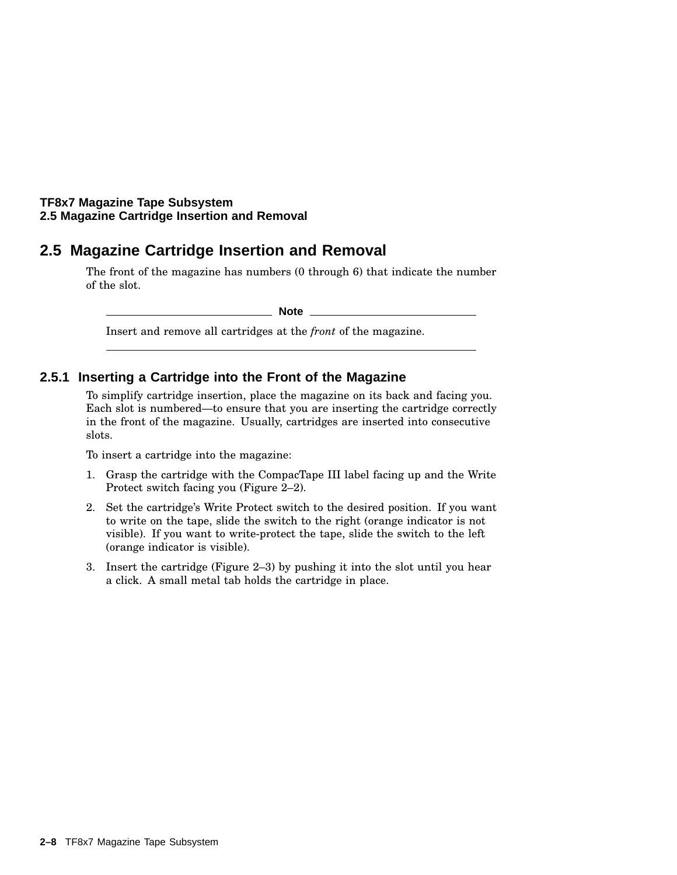#### **TF8x7 Magazine Tape Subsystem 2.5 Magazine Cartridge Insertion and Removal**

## **2.5 Magazine Cartridge Insertion and Removal**

The front of the magazine has numbers (0 through 6) that indicate the number of the slot.

**Note**

Insert and remove all cartridges at the *front* of the magazine.

#### **2.5.1 Inserting a Cartridge into the Front of the Magazine**

To simplify cartridge insertion, place the magazine on its back and facing you. Each slot is numbered—to ensure that you are inserting the cartridge correctly in the front of the magazine. Usually, cartridges are inserted into consecutive slots.

To insert a cartridge into the magazine:

- 1. Grasp the cartridge with the CompacTape III label facing up and the Write Protect switch facing you (Figure 2–2).
- 2. Set the cartridge's Write Protect switch to the desired position. If you want to write on the tape, slide the switch to the right (orange indicator is not visible). If you want to write-protect the tape, slide the switch to the left (orange indicator is visible).
- 3. Insert the cartridge (Figure 2–3) by pushing it into the slot until you hear a click. A small metal tab holds the cartridge in place.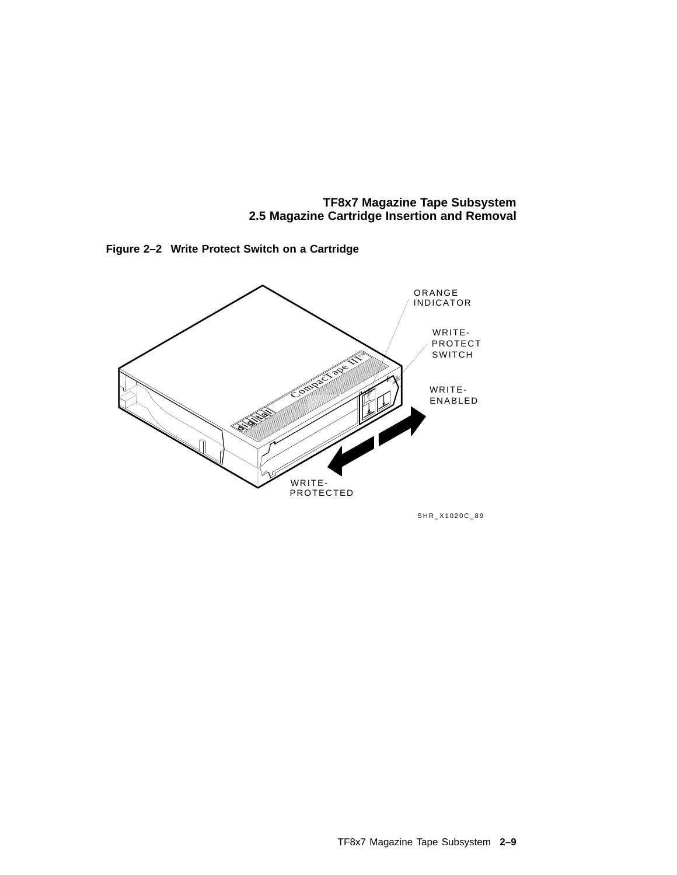**TF8x7 Magazine Tape Subsystem 2.5 Magazine Cartridge Insertion and Removal**



**Figure 2–2 Write Protect Switch on a Cartridge**



SHR\_X1020C\_89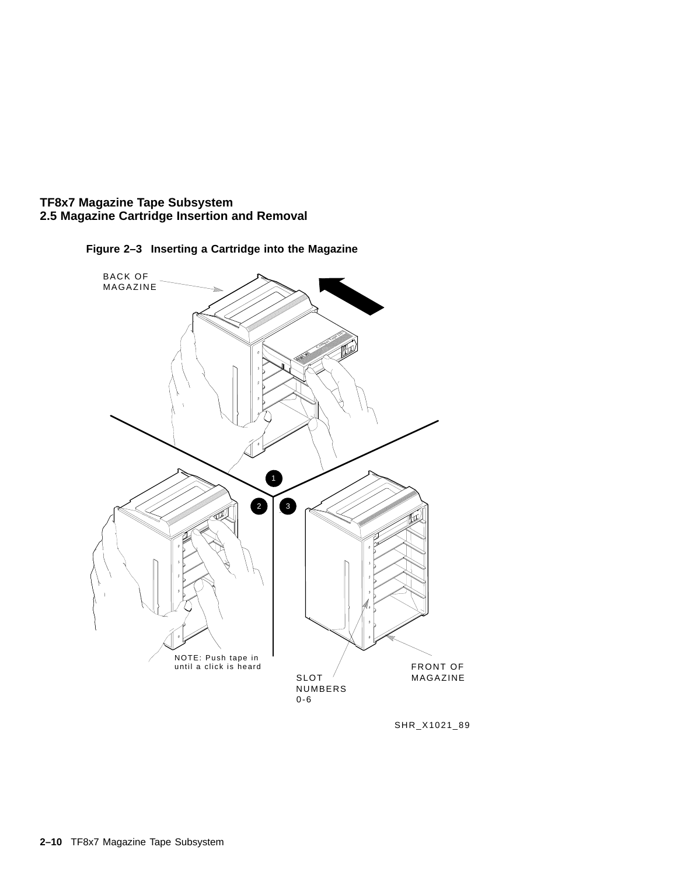



**Figure 2–3 Inserting a Cartridge into the Magazine**

SHR\_X1021\_89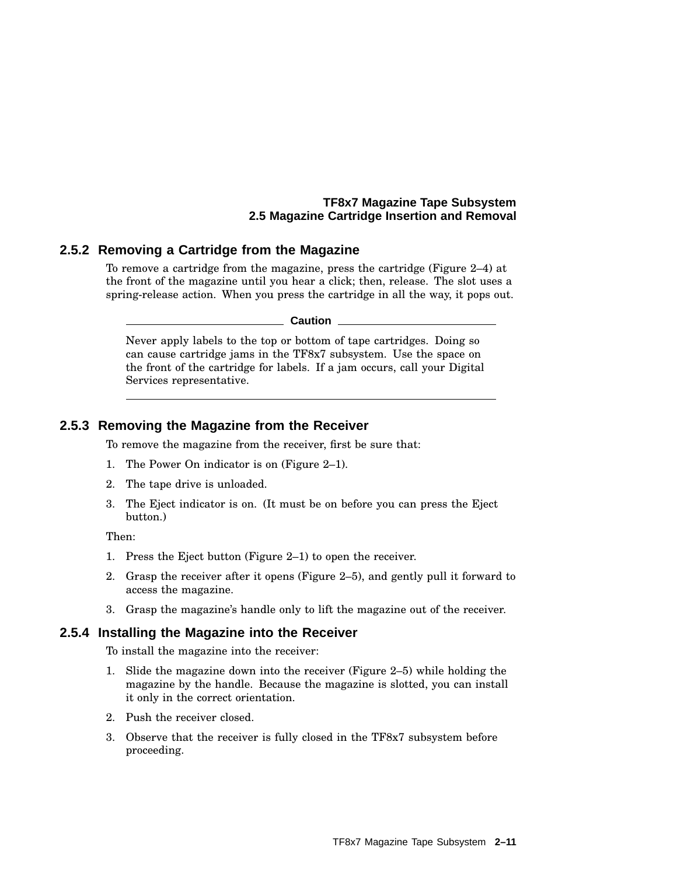#### **TF8x7 Magazine Tape Subsystem 2.5 Magazine Cartridge Insertion and Removal**

#### **2.5.2 Removing a Cartridge from the Magazine**

To remove a cartridge from the magazine, press the cartridge (Figure 2–4) at the front of the magazine until you hear a click; then, release. The slot uses a spring-release action. When you press the cartridge in all the way, it pops out.

**Caution**

Never apply labels to the top or bottom of tape cartridges. Doing so can cause cartridge jams in the TF8x7 subsystem. Use the space on the front of the cartridge for labels. If a jam occurs, call your Digital Services representative.

#### **2.5.3 Removing the Magazine from the Receiver**

To remove the magazine from the receiver, first be sure that:

- 1. The Power On indicator is on (Figure 2–1).
- 2. The tape drive is unloaded.
- 3. The Eject indicator is on. (It must be on before you can press the Eject button.)

Then:

- 1. Press the Eject button (Figure 2–1) to open the receiver.
- 2. Grasp the receiver after it opens (Figure 2–5), and gently pull it forward to access the magazine.
- 3. Grasp the magazine's handle only to lift the magazine out of the receiver.

#### **2.5.4 Installing the Magazine into the Receiver**

To install the magazine into the receiver:

- 1. Slide the magazine down into the receiver (Figure 2–5) while holding the magazine by the handle. Because the magazine is slotted, you can install it only in the correct orientation.
- 2. Push the receiver closed.
- 3. Observe that the receiver is fully closed in the TF8x7 subsystem before proceeding.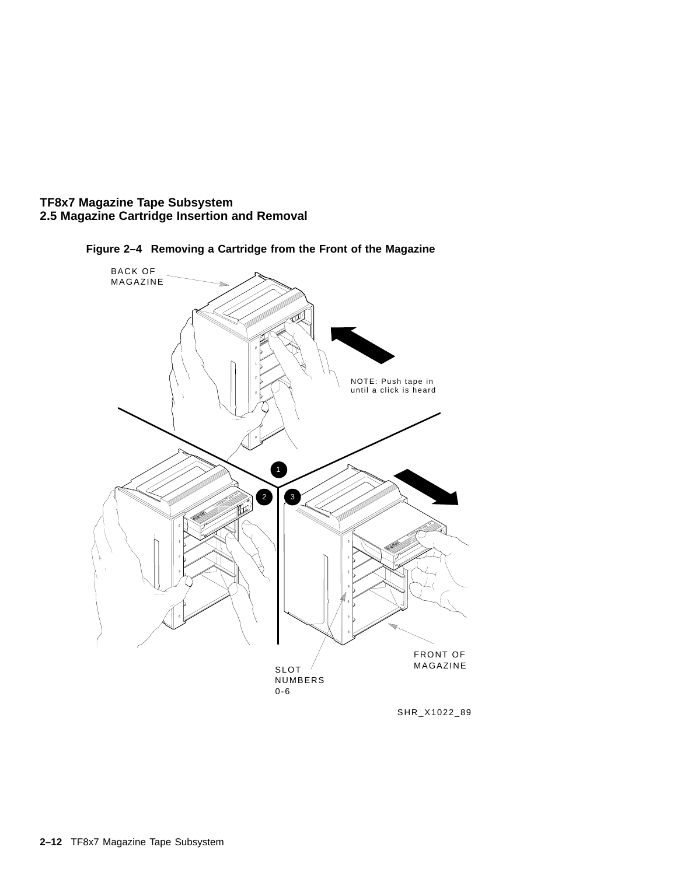



**Figure 2–4 Removing a Cartridge from the Front of the Magazine**

SHR\_X1022\_89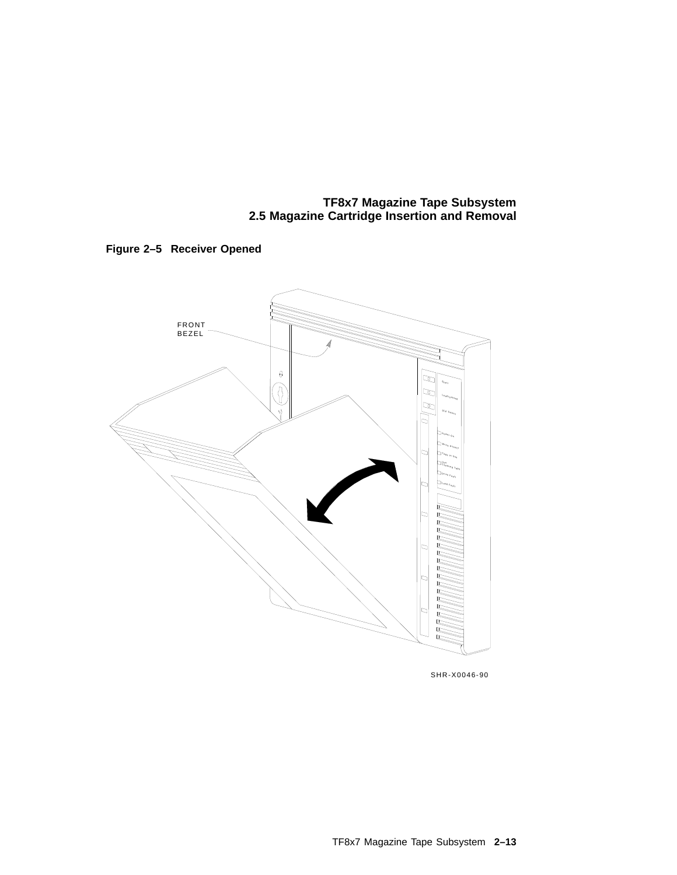**TF8x7 Magazine Tape Subsystem 2.5 Magazine Cartridge Insertion and Removal**





SHR-X0046-90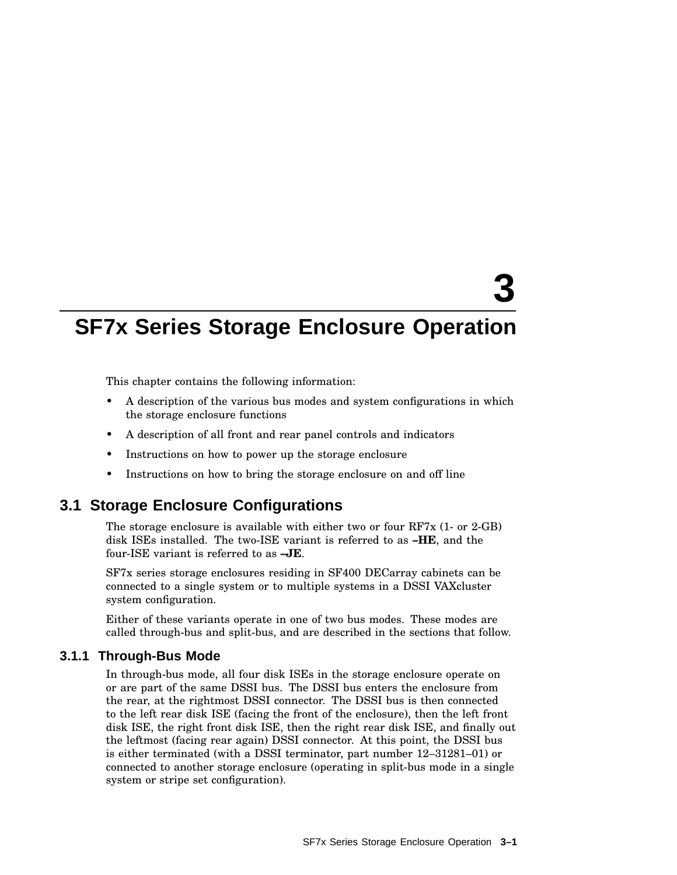# **3**

## **SF7x Series Storage Enclosure Operation**

This chapter contains the following information:

- A description of the various bus modes and system configurations in which the storage enclosure functions
- A description of all front and rear panel controls and indicators
- Instructions on how to power up the storage enclosure
- Instructions on how to bring the storage enclosure on and off line

## **3.1 Storage Enclosure Configurations**

The storage enclosure is available with either two or four RF7x (1- or 2-GB) disk ISEs installed. The two-ISE variant is referred to as **–HE**, and the four-ISE variant is referred to as **–JE**.

SF7x series storage enclosures residing in SF400 DECarray cabinets can be connected to a single system or to multiple systems in a DSSI VAXcluster system configuration.

Either of these variants operate in one of two bus modes. These modes are called through-bus and split-bus, and are described in the sections that follow.

#### **3.1.1 Through-Bus Mode**

In through-bus mode, all four disk ISEs in the storage enclosure operate on or are part of the same DSSI bus. The DSSI bus enters the enclosure from the rear, at the rightmost DSSI connector. The DSSI bus is then connected to the left rear disk ISE (facing the front of the enclosure), then the left front disk ISE, the right front disk ISE, then the right rear disk ISE, and finally out the leftmost (facing rear again) DSSI connector. At this point, the DSSI bus is either terminated (with a DSSI terminator, part number 12–31281–01) or connected to another storage enclosure (operating in split-bus mode in a single system or stripe set configuration).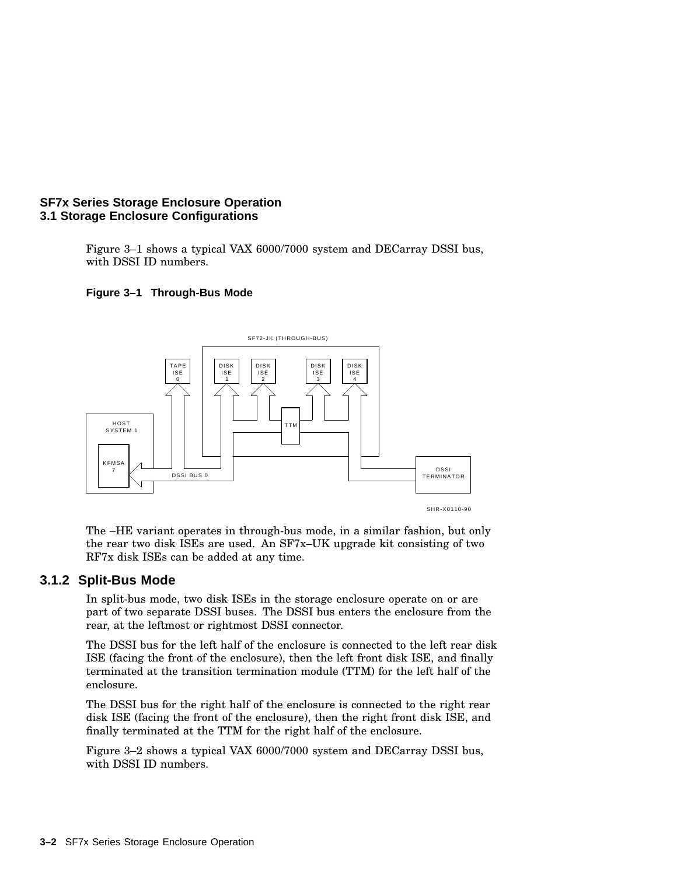#### **SF7x Series Storage Enclosure Operation 3.1 Storage Enclosure Configurations**

Figure 3–1 shows a typical VAX 6000/7000 system and DECarray DSSI bus, with DSSI ID numbers.

#### **Figure 3–1 Through-Bus Mode**



The –HE variant operates in through-bus mode, in a similar fashion, but only the rear two disk ISEs are used. An SF7x–UK upgrade kit consisting of two RF7x disk ISEs can be added at any time.

#### **3.1.2 Split-Bus Mode**

In split-bus mode, two disk ISEs in the storage enclosure operate on or are part of two separate DSSI buses. The DSSI bus enters the enclosure from the rear, at the leftmost or rightmost DSSI connector.

The DSSI bus for the left half of the enclosure is connected to the left rear disk ISE (facing the front of the enclosure), then the left front disk ISE, and finally terminated at the transition termination module (TTM) for the left half of the enclosure.

The DSSI bus for the right half of the enclosure is connected to the right rear disk ISE (facing the front of the enclosure), then the right front disk ISE, and finally terminated at the TTM for the right half of the enclosure.

Figure 3–2 shows a typical VAX 6000/7000 system and DECarray DSSI bus, with DSSI ID numbers.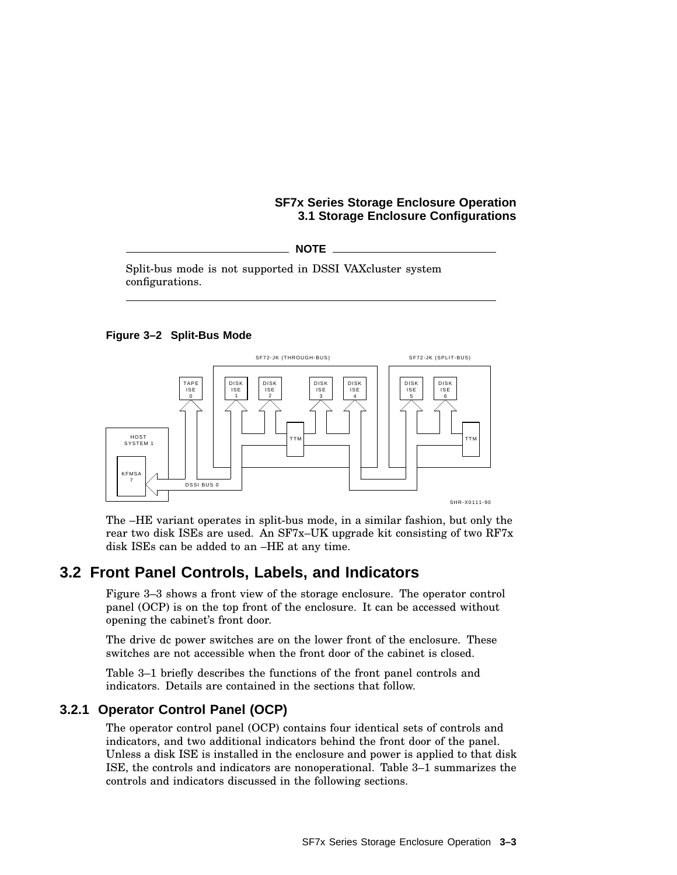#### **SF7x Series Storage Enclosure Operation 3.1 Storage Enclosure Configurations**

**NOTE**

Split-bus mode is not supported in DSSI VAXcluster system configurations.

#### **Figure 3–2 Split-Bus Mode**



The –HE variant operates in split-bus mode, in a similar fashion, but only the rear two disk ISEs are used. An SF7x–UK upgrade kit consisting of two RF7x disk ISEs can be added to an –HE at any time.

## **3.2 Front Panel Controls, Labels, and Indicators**

Figure 3–3 shows a front view of the storage enclosure. The operator control panel (OCP) is on the top front of the enclosure. It can be accessed without opening the cabinet's front door.

The drive dc power switches are on the lower front of the enclosure. These switches are not accessible when the front door of the cabinet is closed.

Table 3–1 briefly describes the functions of the front panel controls and indicators. Details are contained in the sections that follow.

#### **3.2.1 Operator Control Panel (OCP)**

The operator control panel (OCP) contains four identical sets of controls and indicators, and two additional indicators behind the front door of the panel. Unless a disk ISE is installed in the enclosure and power is applied to that disk ISE, the controls and indicators are nonoperational. Table 3–1 summarizes the controls and indicators discussed in the following sections.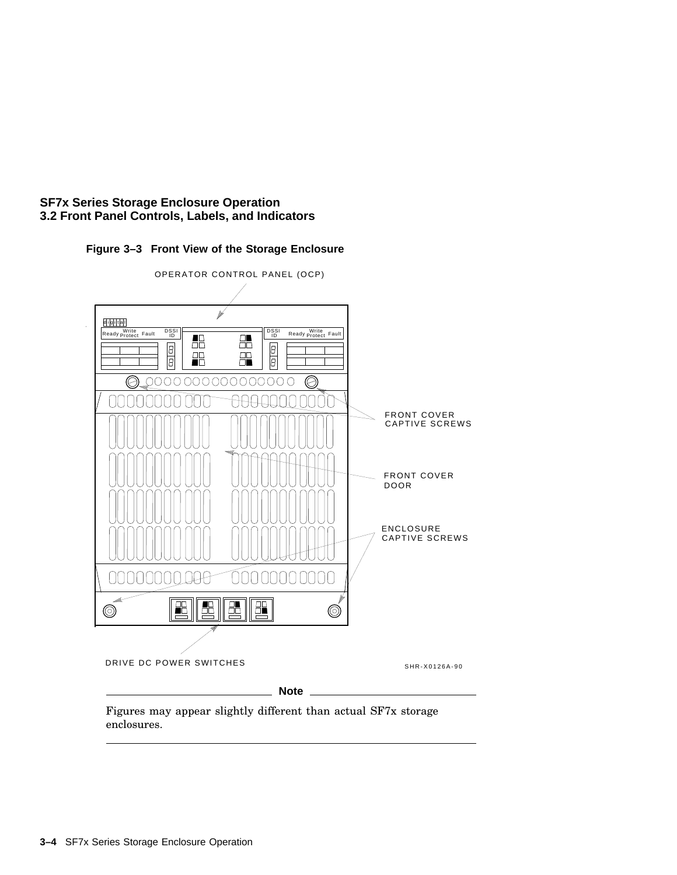





Figures may appear slightly different than actual SF7x storage enclosures.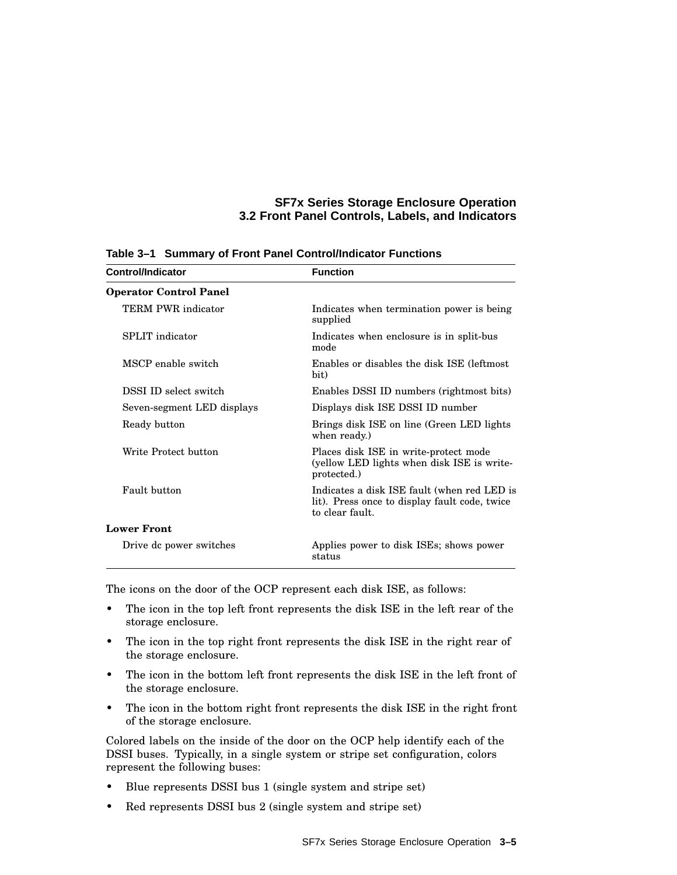| Control/Indicator             | <b>Function</b>                                                                                                 |
|-------------------------------|-----------------------------------------------------------------------------------------------------------------|
| <b>Operator Control Panel</b> |                                                                                                                 |
| TERM PWR indicator            | Indicates when termination power is being<br>supplied                                                           |
| SPLIT indicator               | Indicates when enclosure is in split-bus<br>mode                                                                |
| MSCP enable switch            | Enables or disables the disk ISE (leftmost)<br>bit)                                                             |
| DSSI ID select switch         | Enables DSSI ID numbers (rightmost bits)                                                                        |
| Seven-segment LED displays    | Displays disk ISE DSSI ID number                                                                                |
| Ready button                  | Brings disk ISE on line (Green LED lights)<br>when ready.)                                                      |
| Write Protect button          | Places disk ISE in write-protect mode<br>(yellow LED lights when disk ISE is write-<br>protected.)              |
| Fault button                  | Indicates a disk ISE fault (when red LED is<br>lit). Press once to display fault code, twice<br>to clear fault. |
| <b>Lower Front</b>            |                                                                                                                 |
| Drive dc power switches       | Applies power to disk ISEs; shows power<br>status                                                               |

**Table 3–1 Summary of Front Panel Control/Indicator Functions**

The icons on the door of the OCP represent each disk ISE, as follows:

- The icon in the top left front represents the disk ISE in the left rear of the storage enclosure.
- The icon in the top right front represents the disk ISE in the right rear of the storage enclosure.
- The icon in the bottom left front represents the disk ISE in the left front of the storage enclosure.
- The icon in the bottom right front represents the disk ISE in the right front of the storage enclosure.

Colored labels on the inside of the door on the OCP help identify each of the DSSI buses. Typically, in a single system or stripe set configuration, colors represent the following buses:

- Blue represents DSSI bus 1 (single system and stripe set)
- Red represents DSSI bus 2 (single system and stripe set)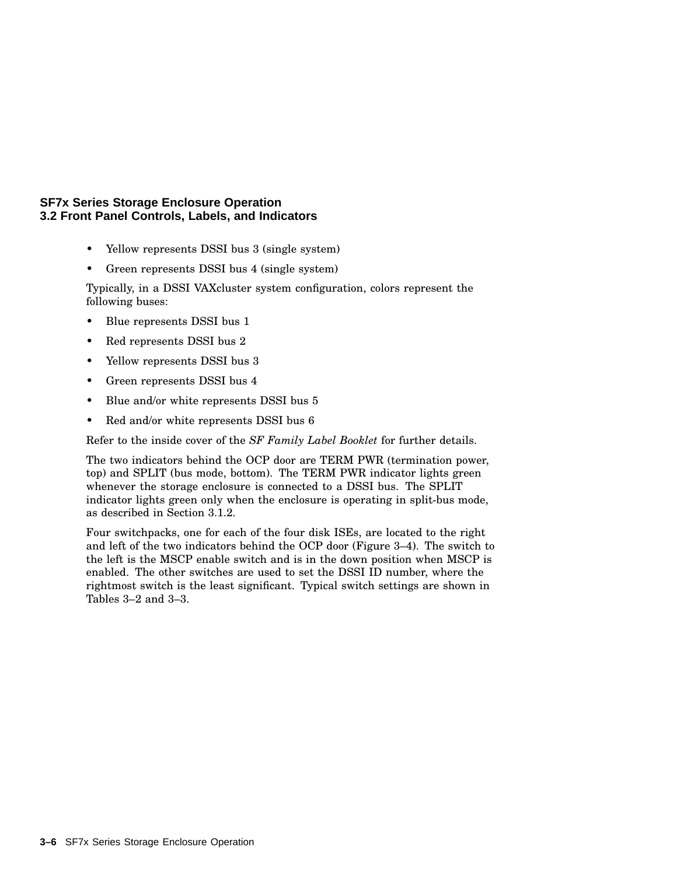- Yellow represents DSSI bus 3 (single system)
- Green represents DSSI bus 4 (single system)

Typically, in a DSSI VAXcluster system configuration, colors represent the following buses:

- Blue represents DSSI bus 1
- Red represents DSSI bus 2
- Yellow represents DSSI bus 3
- Green represents DSSI bus 4
- Blue and/or white represents DSSI bus 5
- Red and/or white represents DSSI bus 6

Refer to the inside cover of the *SF Family Label Booklet* for further details.

The two indicators behind the OCP door are TERM PWR (termination power, top) and SPLIT (bus mode, bottom). The TERM PWR indicator lights green whenever the storage enclosure is connected to a DSSI bus. The SPLIT indicator lights green only when the enclosure is operating in split-bus mode, as described in Section 3.1.2.

Four switchpacks, one for each of the four disk ISEs, are located to the right and left of the two indicators behind the OCP door (Figure 3–4). The switch to the left is the MSCP enable switch and is in the down position when MSCP is enabled. The other switches are used to set the DSSI ID number, where the rightmost switch is the least significant. Typical switch settings are shown in Tables 3–2 and 3–3.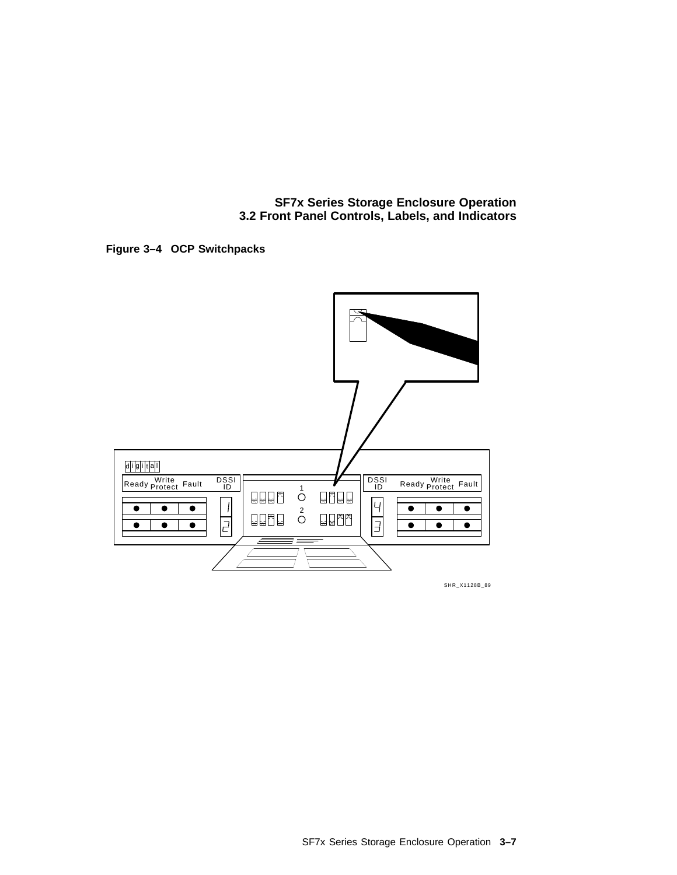**Figure 3–4 OCP Switchpacks**



SHR\_X1128B\_89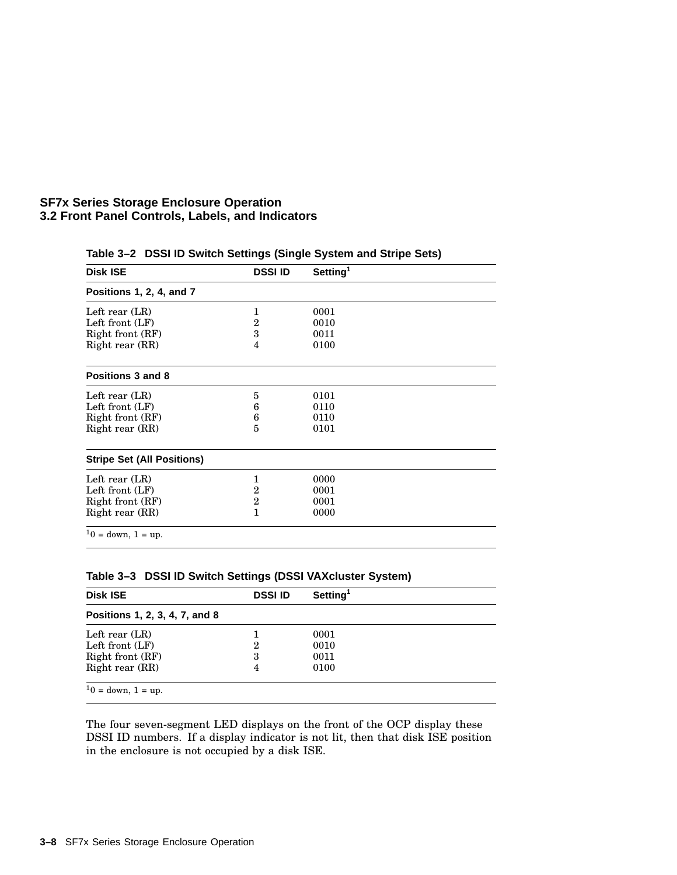| <b>Disk ISE</b>                   | <b>DSSI ID</b> | Setting <sup>1</sup> |  |
|-----------------------------------|----------------|----------------------|--|
| Positions 1, 2, 4, and 7          |                |                      |  |
| Left rear $(LR)$                  | 1              | 0001                 |  |
| Left front $(LF)$                 | $\overline{2}$ | 0010                 |  |
| Right front (RF)                  | 3              | 0011                 |  |
| Right rear (RR)                   | 4              | 0100                 |  |
| Positions 3 and 8                 |                |                      |  |
| Left rear $(LR)$                  | 5              | 0101                 |  |
| Left front $(LF)$                 | 6              | 0110                 |  |
| Right front (RF)                  | 6              | 0110                 |  |
| Right rear (RR)                   | 5              | 0101                 |  |
| <b>Stripe Set (All Positions)</b> |                |                      |  |
| Left rear $(LR)$                  | 1              | 0000                 |  |
| Left front $(LF)$                 | $\overline{2}$ | 0001                 |  |
| Right front (RF)                  | $\overline{2}$ | 0001                 |  |
| Right rear (RR)                   | 1              | 0000                 |  |
| $10 =$ down, $1 =$ up.            |                |                      |  |

**Table 3–2 DSSI ID Switch Settings (Single System and Stripe Sets)**

| <b>Disk ISE</b>                | <b>DSSI ID</b> | Setting <sup>1</sup> |  |
|--------------------------------|----------------|----------------------|--|
| Positions 1, 2, 3, 4, 7, and 8 |                |                      |  |
| Left rear $(LR)$               |                | 0001                 |  |
| Left front $(LF)$              | 2              | 0010                 |  |
| Right front (RF)               | 3              | 0011                 |  |
| Right rear (RR)                | 4              | 0100                 |  |

**Table 3–3 DSSI ID Switch Settings (DSSI VAXcluster System)**

The four seven-segment LED displays on the front of the OCP display these DSSI ID numbers. If a display indicator is not lit, then that disk ISE position in the enclosure is not occupied by a disk ISE.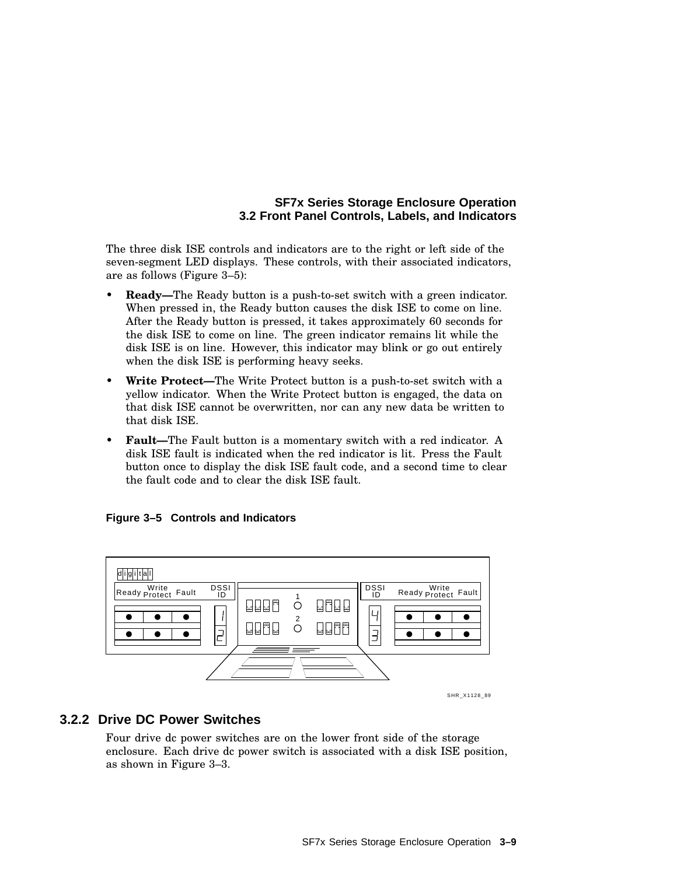The three disk ISE controls and indicators are to the right or left side of the seven-segment LED displays. These controls, with their associated indicators, are as follows (Figure 3–5):

- **Ready—**The Ready button is a push-to-set switch with a green indicator. When pressed in, the Ready button causes the disk ISE to come on line. After the Ready button is pressed, it takes approximately 60 seconds for the disk ISE to come on line. The green indicator remains lit while the disk ISE is on line. However, this indicator may blink or go out entirely when the disk ISE is performing heavy seeks.
- **Write Protect—**The Write Protect button is a push-to-set switch with a yellow indicator. When the Write Protect button is engaged, the data on that disk ISE cannot be overwritten, nor can any new data be written to that disk ISE.
- **Fault—The Fault button is a momentary switch with a red indicator. A** disk ISE fault is indicated when the red indicator is lit. Press the Fault button once to display the disk ISE fault code, and a second time to clear the fault code and to clear the disk ISE fault.

#### **Figure 3–5 Controls and Indicators**



SHR\_X1128\_89

#### **3.2.2 Drive DC Power Switches**

Four drive dc power switches are on the lower front side of the storage enclosure. Each drive dc power switch is associated with a disk ISE position, as shown in Figure 3–3.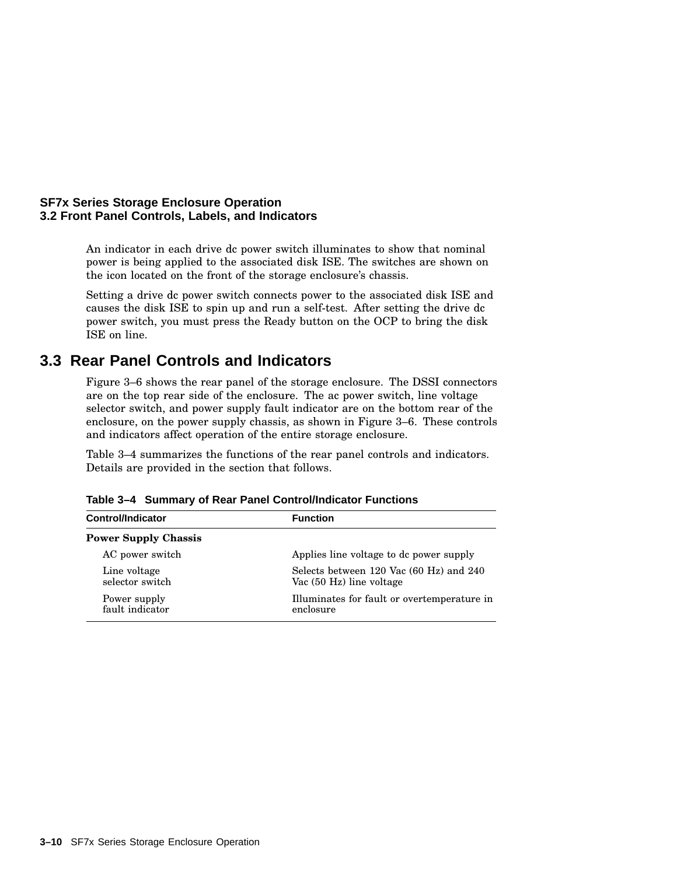An indicator in each drive dc power switch illuminates to show that nominal power is being applied to the associated disk ISE. The switches are shown on the icon located on the front of the storage enclosure's chassis.

Setting a drive dc power switch connects power to the associated disk ISE and causes the disk ISE to spin up and run a self-test. After setting the drive dc power switch, you must press the Ready button on the OCP to bring the disk ISE on line.

## **3.3 Rear Panel Controls and Indicators**

Figure 3–6 shows the rear panel of the storage enclosure. The DSSI connectors are on the top rear side of the enclosure. The ac power switch, line voltage selector switch, and power supply fault indicator are on the bottom rear of the enclosure, on the power supply chassis, as shown in Figure 3–6. These controls and indicators affect operation of the entire storage enclosure.

Table 3–4 summarizes the functions of the rear panel controls and indicators. Details are provided in the section that follows.

| <b>Control/Indicator</b>        | <b>Function</b>                                                     |
|---------------------------------|---------------------------------------------------------------------|
| <b>Power Supply Chassis</b>     |                                                                     |
| AC power switch                 | Applies line voltage to de power supply                             |
| Line voltage<br>selector switch | Selects between 120 Vac (60 Hz) and 240<br>Vac (50 Hz) line voltage |
| Power supply<br>fault indicator | Illuminates for fault or overtemperature in<br>enclosure            |

**Table 3–4 Summary of Rear Panel Control/Indicator Functions**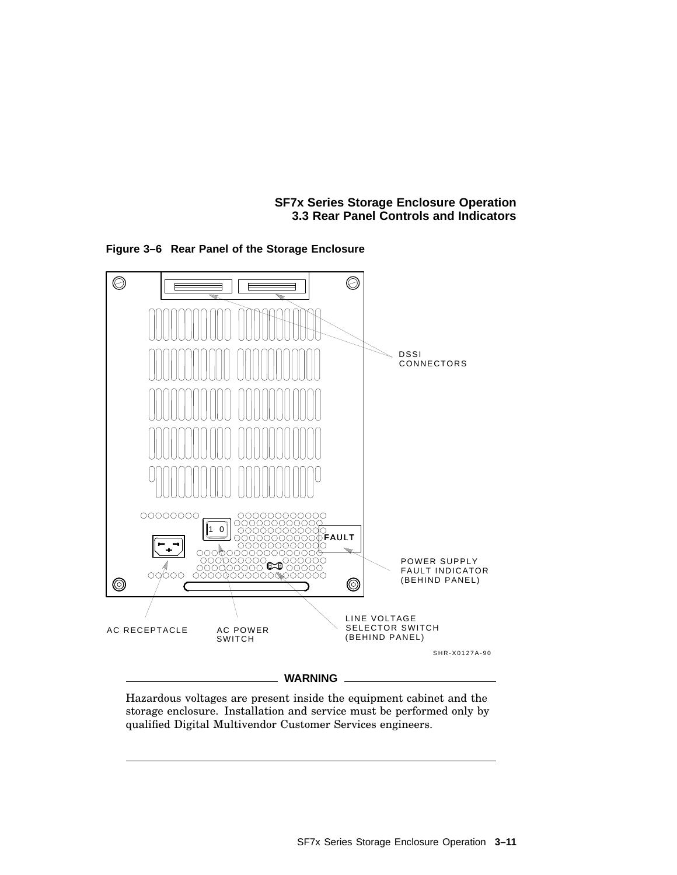**SF7x Series Storage Enclosure Operation 3.3 Rear Panel Controls and Indicators**



**Figure 3–6 Rear Panel of the Storage Enclosure**

Hazardous voltages are present inside the equipment cabinet and the storage enclosure. Installation and service must be performed only by qualified Digital Multivendor Customer Services engineers.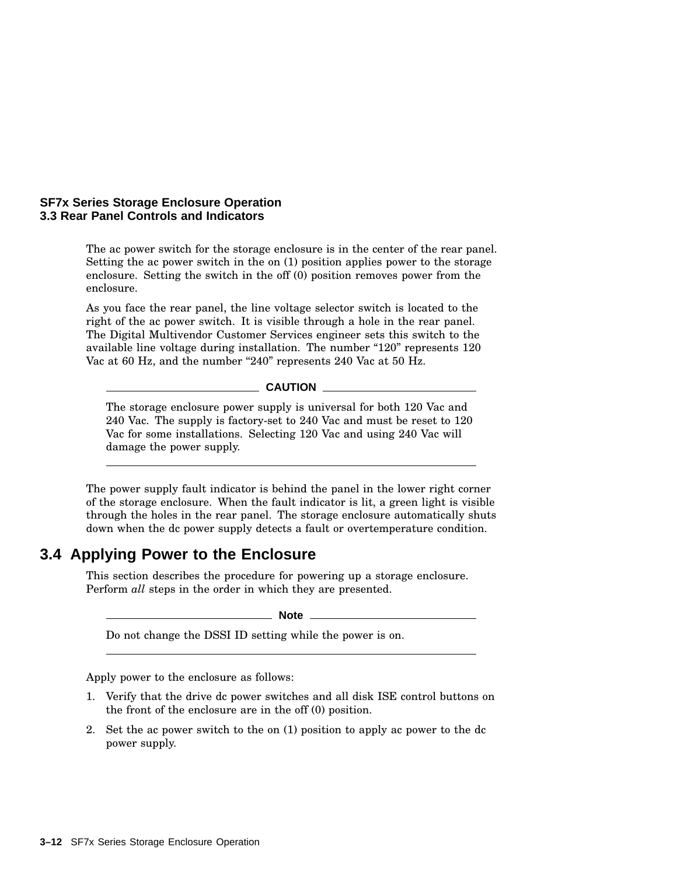#### **SF7x Series Storage Enclosure Operation 3.3 Rear Panel Controls and Indicators**

The ac power switch for the storage enclosure is in the center of the rear panel. Setting the ac power switch in the on (1) position applies power to the storage enclosure. Setting the switch in the off (0) position removes power from the enclosure.

As you face the rear panel, the line voltage selector switch is located to the right of the ac power switch. It is visible through a hole in the rear panel. The Digital Multivendor Customer Services engineer sets this switch to the available line voltage during installation. The number "120" represents 120 Vac at 60 Hz, and the number "240" represents 240 Vac at 50 Hz.

**CAUTION** 

The storage enclosure power supply is universal for both 120 Vac and 240 Vac. The supply is factory-set to 240 Vac and must be reset to 120 Vac for some installations. Selecting 120 Vac and using 240 Vac will damage the power supply.

The power supply fault indicator is behind the panel in the lower right corner of the storage enclosure. When the fault indicator is lit, a green light is visible through the holes in the rear panel. The storage enclosure automatically shuts down when the dc power supply detects a fault or overtemperature condition.

## **3.4 Applying Power to the Enclosure**

This section describes the procedure for powering up a storage enclosure. Perform *all* steps in the order in which they are presented.

**Note** \_

Do not change the DSSI ID setting while the power is on.

Apply power to the enclosure as follows:

- 1. Verify that the drive dc power switches and all disk ISE control buttons on the front of the enclosure are in the off (0) position.
- 2. Set the ac power switch to the on (1) position to apply ac power to the dc power supply.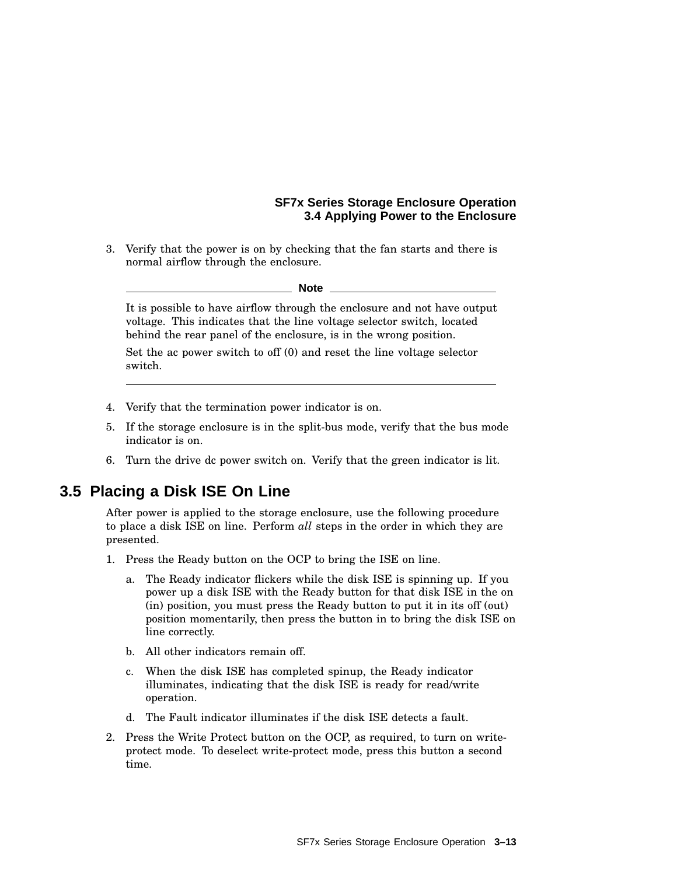#### **SF7x Series Storage Enclosure Operation 3.4 Applying Power to the Enclosure**

3. Verify that the power is on by checking that the fan starts and there is normal airflow through the enclosure.

#### **Note**

It is possible to have airflow through the enclosure and not have output voltage. This indicates that the line voltage selector switch, located behind the rear panel of the enclosure, is in the wrong position.

Set the ac power switch to off (0) and reset the line voltage selector switch.

- 4. Verify that the termination power indicator is on.
- 5. If the storage enclosure is in the split-bus mode, verify that the bus mode indicator is on.
- 6. Turn the drive dc power switch on. Verify that the green indicator is lit.

## **3.5 Placing a Disk ISE On Line**

After power is applied to the storage enclosure, use the following procedure to place a disk ISE on line. Perform *all* steps in the order in which they are presented.

- 1. Press the Ready button on the OCP to bring the ISE on line.
	- a. The Ready indicator flickers while the disk ISE is spinning up. If you power up a disk ISE with the Ready button for that disk ISE in the on (in) position, you must press the Ready button to put it in its off (out) position momentarily, then press the button in to bring the disk ISE on line correctly.
	- b. All other indicators remain off.
	- c. When the disk ISE has completed spinup, the Ready indicator illuminates, indicating that the disk ISE is ready for read/write operation.
	- d. The Fault indicator illuminates if the disk ISE detects a fault.
- 2. Press the Write Protect button on the OCP, as required, to turn on writeprotect mode. To deselect write-protect mode, press this button a second time.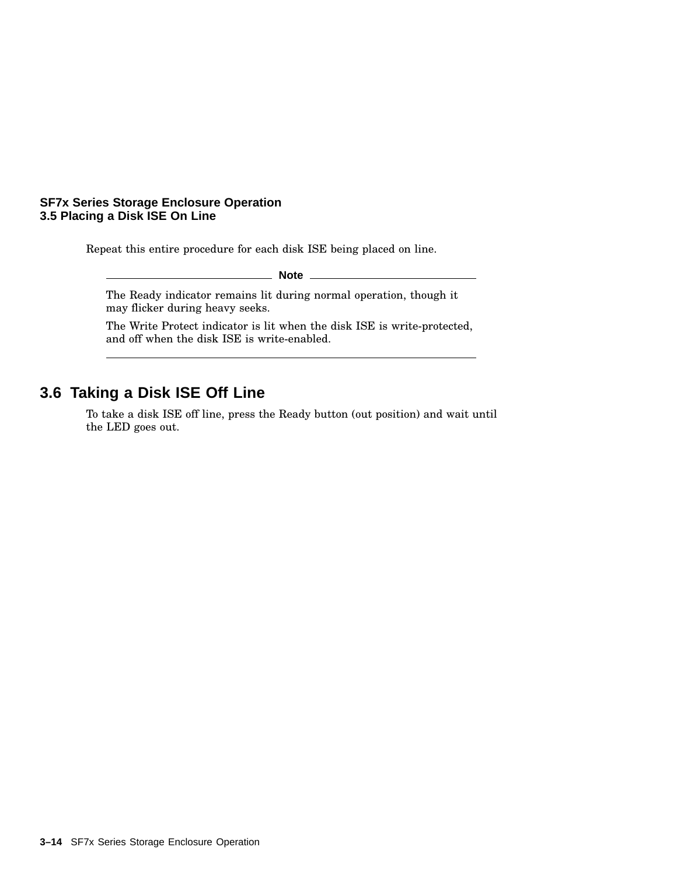#### **SF7x Series Storage Enclosure Operation 3.5 Placing a Disk ISE On Line**

Repeat this entire procedure for each disk ISE being placed on line.

**Note**

The Ready indicator remains lit during normal operation, though it may flicker during heavy seeks.

The Write Protect indicator is lit when the disk ISE is write-protected, and off when the disk ISE is write-enabled.

## **3.6 Taking a Disk ISE Off Line**

To take a disk ISE off line, press the Ready button (out position) and wait until the LED goes out.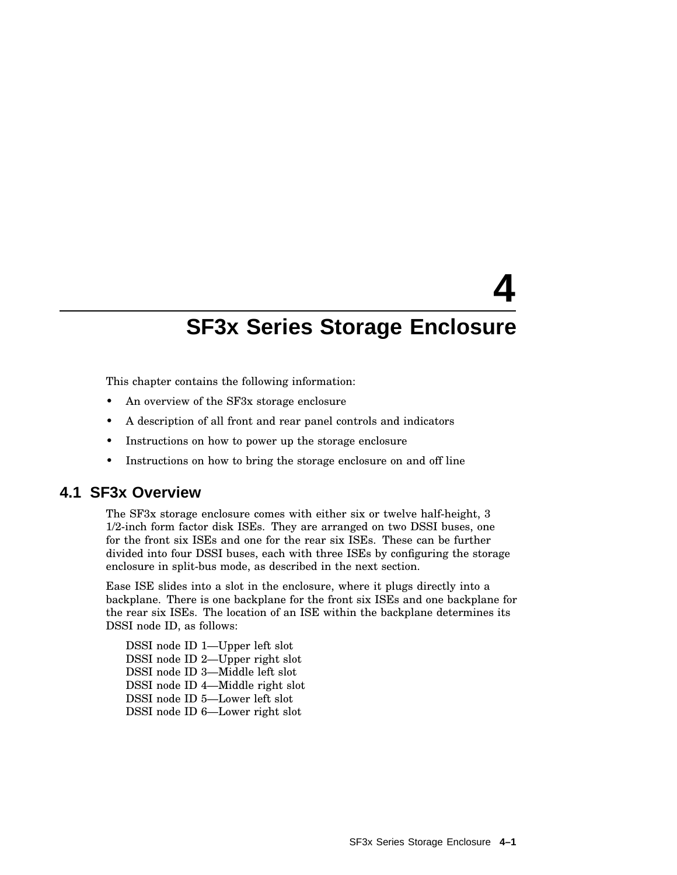# **4**

## **SF3x Series Storage Enclosure**

This chapter contains the following information:

- An overview of the SF3x storage enclosure
- A description of all front and rear panel controls and indicators
- Instructions on how to power up the storage enclosure
- Instructions on how to bring the storage enclosure on and off line

## **4.1 SF3x Overview**

The SF3x storage enclosure comes with either six or twelve half-height, 3 1/2-inch form factor disk ISEs. They are arranged on two DSSI buses, one for the front six ISEs and one for the rear six ISEs. These can be further divided into four DSSI buses, each with three ISEs by configuring the storage enclosure in split-bus mode, as described in the next section.

Ease ISE slides into a slot in the enclosure, where it plugs directly into a backplane. There is one backplane for the front six ISEs and one backplane for the rear six ISEs. The location of an ISE within the backplane determines its DSSI node ID, as follows:

DSSI node ID 1—Upper left slot DSSI node ID 2—Upper right slot DSSI node ID 3—Middle left slot DSSI node ID 4—Middle right slot DSSI node ID 5—Lower left slot DSSI node ID 6—Lower right slot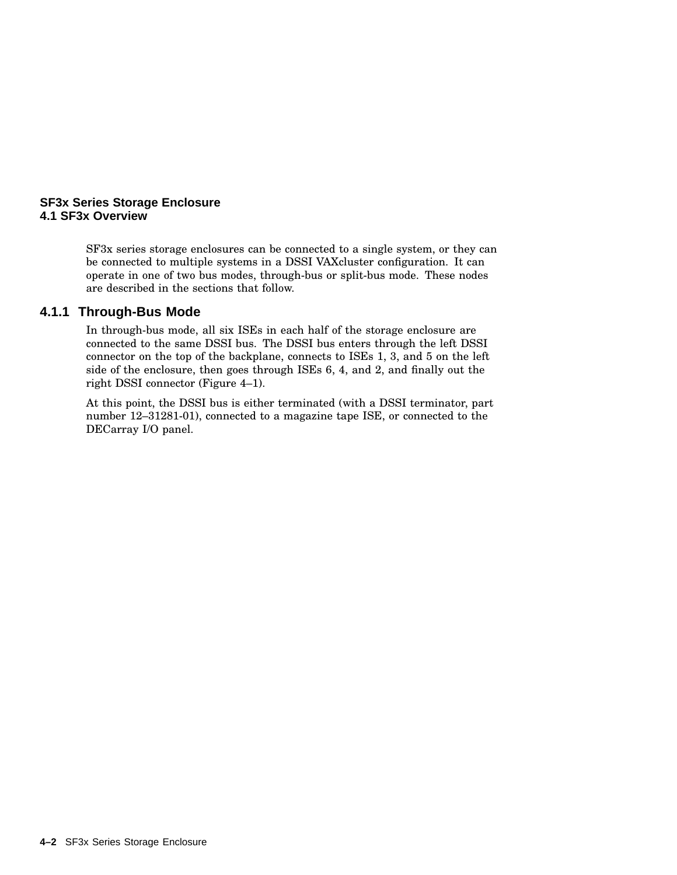#### **SF3x Series Storage Enclosure 4.1 SF3x Overview**

SF3x series storage enclosures can be connected to a single system, or they can be connected to multiple systems in a DSSI VAXcluster configuration. It can operate in one of two bus modes, through-bus or split-bus mode. These nodes are described in the sections that follow.

#### **4.1.1 Through-Bus Mode**

In through-bus mode, all six ISEs in each half of the storage enclosure are connected to the same DSSI bus. The DSSI bus enters through the left DSSI connector on the top of the backplane, connects to ISEs 1, 3, and 5 on the left side of the enclosure, then goes through ISEs 6, 4, and 2, and finally out the right DSSI connector (Figure 4–1).

At this point, the DSSI bus is either terminated (with a DSSI terminator, part number 12–31281-01), connected to a magazine tape ISE, or connected to the DECarray I/O panel.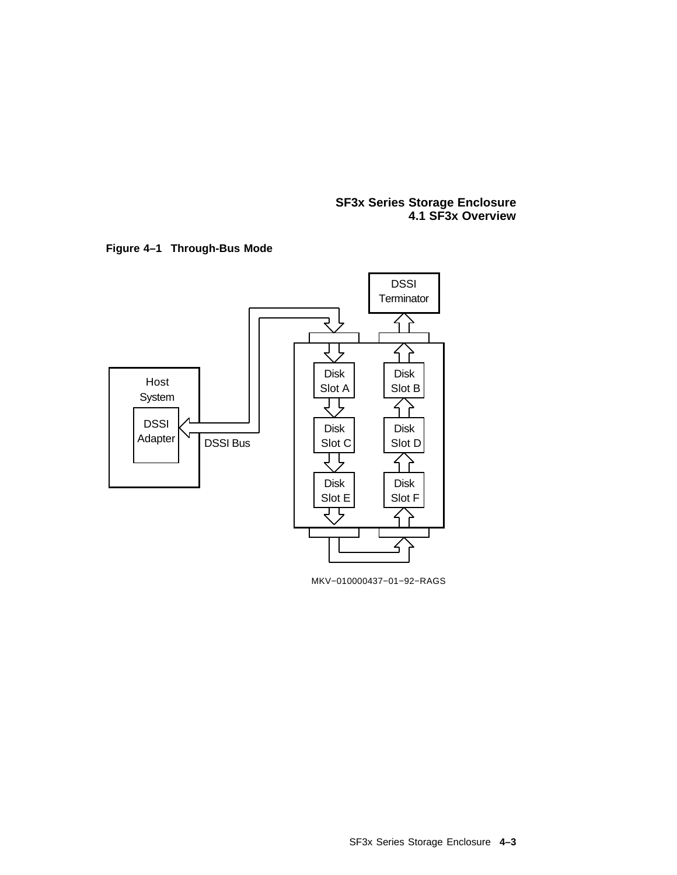#### **SF3x Series Storage Enclosure 4.1 SF3x Overview**





MKV−010000437−01−92−RAGS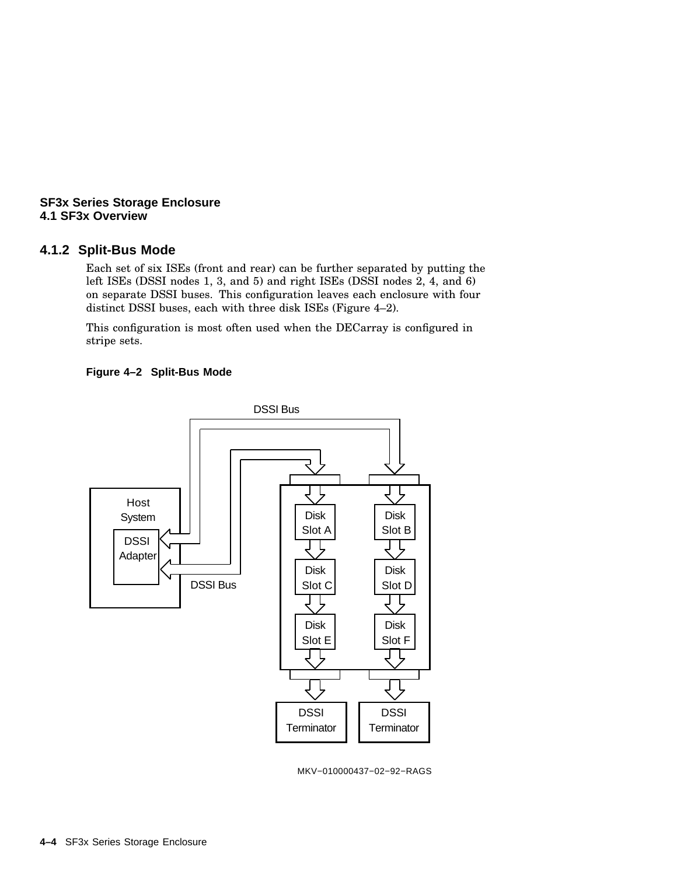#### **SF3x Series Storage Enclosure 4.1 SF3x Overview**

#### **4.1.2 Split-Bus Mode**

Each set of six ISEs (front and rear) can be further separated by putting the left ISEs (DSSI nodes 1, 3, and 5) and right ISEs (DSSI nodes 2, 4, and 6) on separate DSSI buses. This configuration leaves each enclosure with four distinct DSSI buses, each with three disk ISEs (Figure 4–2).

This configuration is most often used when the DECarray is configured in stripe sets.

#### **Figure 4–2 Split-Bus Mode**



MKV−010000437−02−92−RAGS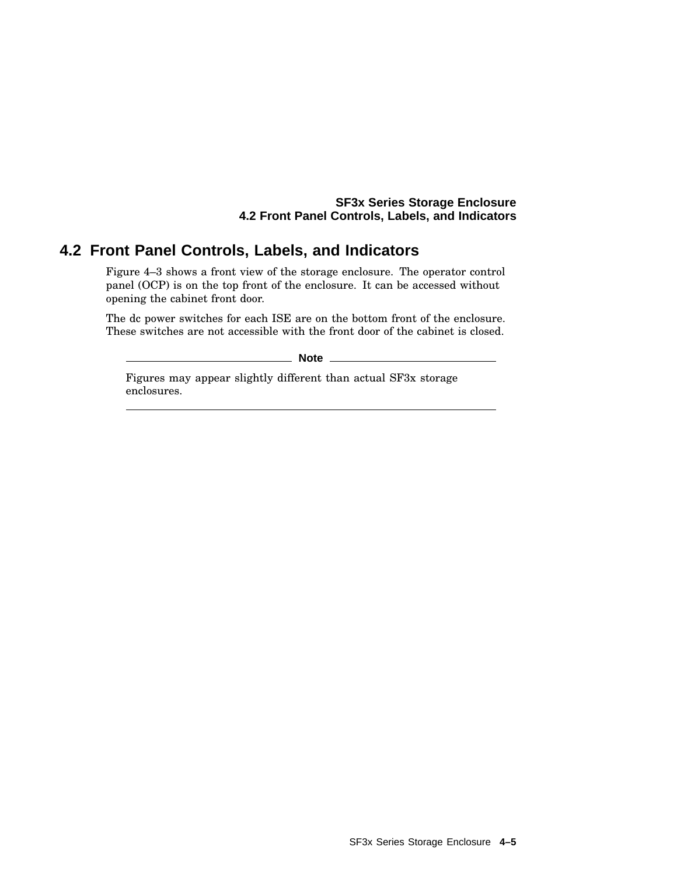## **4.2 Front Panel Controls, Labels, and Indicators**

Figure 4–3 shows a front view of the storage enclosure. The operator control panel (OCP) is on the top front of the enclosure. It can be accessed without opening the cabinet front door.

The dc power switches for each ISE are on the bottom front of the enclosure. These switches are not accessible with the front door of the cabinet is closed.

**Note**

Figures may appear slightly different than actual SF3x storage enclosures.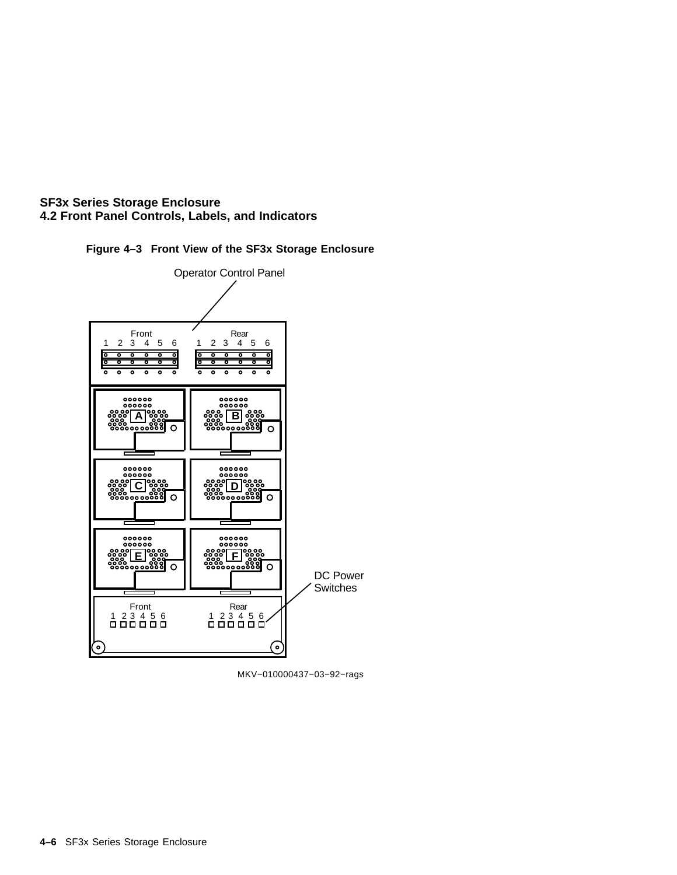



MKV−010000437−03−92−rags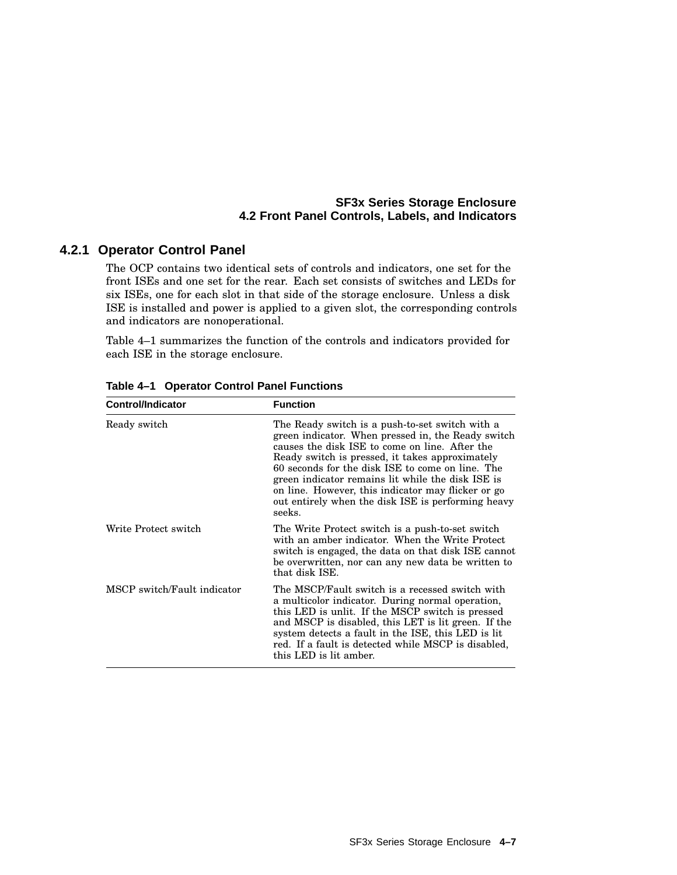#### **4.2.1 Operator Control Panel**

The OCP contains two identical sets of controls and indicators, one set for the front ISEs and one set for the rear. Each set consists of switches and LEDs for six ISEs, one for each slot in that side of the storage enclosure. Unless a disk ISE is installed and power is applied to a given slot, the corresponding controls and indicators are nonoperational.

Table 4–1 summarizes the function of the controls and indicators provided for each ISE in the storage enclosure.

| <b>Control/Indicator</b>    | <b>Function</b>                                                                                                                                                                                                                                                                                                                                                                                                                           |
|-----------------------------|-------------------------------------------------------------------------------------------------------------------------------------------------------------------------------------------------------------------------------------------------------------------------------------------------------------------------------------------------------------------------------------------------------------------------------------------|
| Ready switch                | The Ready switch is a push-to-set switch with a<br>green indicator. When pressed in, the Ready switch<br>causes the disk ISE to come on line. After the<br>Ready switch is pressed, it takes approximately<br>60 seconds for the disk ISE to come on line. The<br>green indicator remains lit while the disk ISE is<br>on line. However, this indicator may flicker or go<br>out entirely when the disk ISE is performing heavy<br>seeks. |
| Write Protect switch        | The Write Protect switch is a push-to-set switch<br>with an amber indicator. When the Write Protect<br>switch is engaged, the data on that disk ISE cannot<br>be overwritten, nor can any new data be written to<br>that disk ISE.                                                                                                                                                                                                        |
| MSCP switch/Fault indicator | The MSCP/Fault switch is a recessed switch with<br>a multicolor indicator. During normal operation,<br>this LED is unlit. If the MSCP switch is pressed<br>and MSCP is disabled, this LET is lit green. If the<br>system detects a fault in the ISE, this LED is lit<br>red. If a fault is detected while MSCP is disabled,<br>this LED is lit amber.                                                                                     |

**Table 4–1 Operator Control Panel Functions**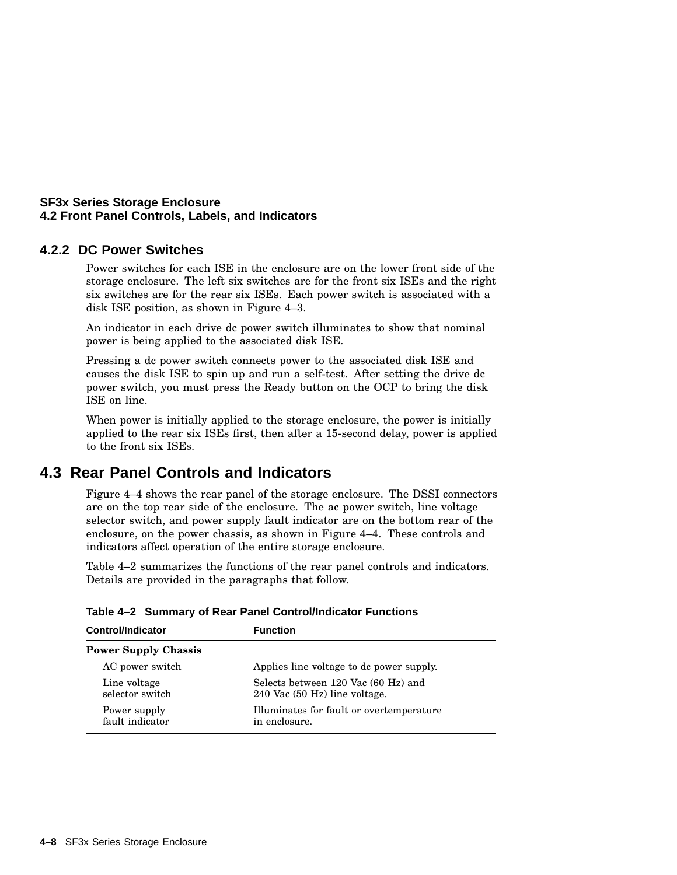#### **4.2.2 DC Power Switches**

Power switches for each ISE in the enclosure are on the lower front side of the storage enclosure. The left six switches are for the front six ISEs and the right six switches are for the rear six ISEs. Each power switch is associated with a disk ISE position, as shown in Figure 4–3.

An indicator in each drive dc power switch illuminates to show that nominal power is being applied to the associated disk ISE.

Pressing a dc power switch connects power to the associated disk ISE and causes the disk ISE to spin up and run a self-test. After setting the drive dc power switch, you must press the Ready button on the OCP to bring the disk ISE on line.

When power is initially applied to the storage enclosure, the power is initially applied to the rear six ISEs first, then after a 15-second delay, power is applied to the front six ISEs.

## **4.3 Rear Panel Controls and Indicators**

Figure 4–4 shows the rear panel of the storage enclosure. The DSSI connectors are on the top rear side of the enclosure. The ac power switch, line voltage selector switch, and power supply fault indicator are on the bottom rear of the enclosure, on the power chassis, as shown in Figure 4–4. These controls and indicators affect operation of the entire storage enclosure.

Table 4–2 summarizes the functions of the rear panel controls and indicators. Details are provided in the paragraphs that follow.

| <b>Control/Indicator</b>        | <b>Function</b>                                                      |
|---------------------------------|----------------------------------------------------------------------|
| <b>Power Supply Chassis</b>     |                                                                      |
| AC power switch                 | Applies line voltage to dc power supply.                             |
| Line voltage<br>selector switch | Selects between 120 Vac (60 Hz) and<br>240 Vac (50 Hz) line voltage. |
| Power supply<br>fault indicator | Illuminates for fault or overtemperature<br>in enclosure.            |

**Table 4–2 Summary of Rear Panel Control/Indicator Functions**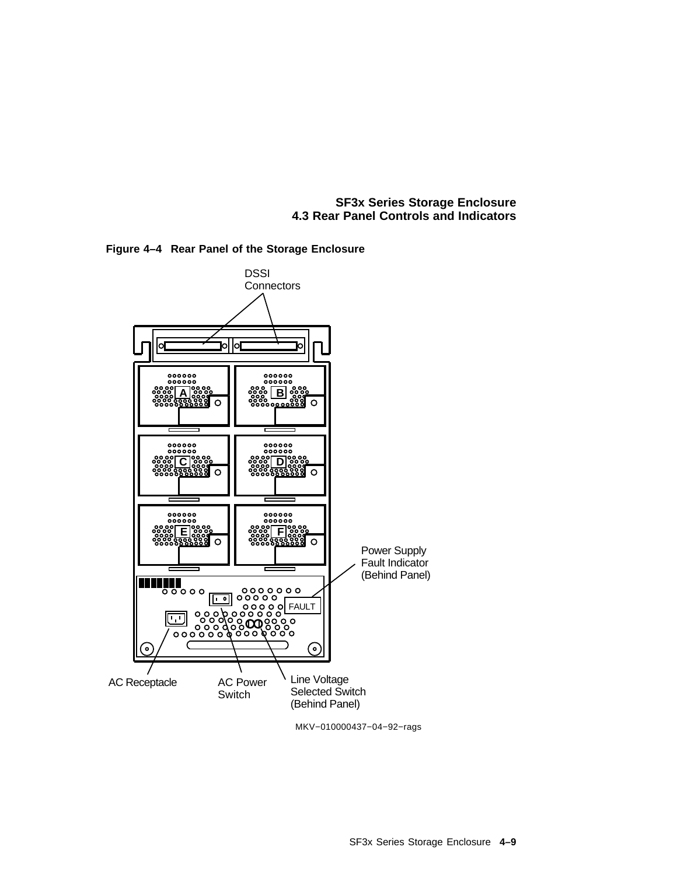**SF3x Series Storage Enclosure 4.3 Rear Panel Controls and Indicators**



**Figure 4–4 Rear Panel of the Storage Enclosure**

MKV−010000437−04−92−rags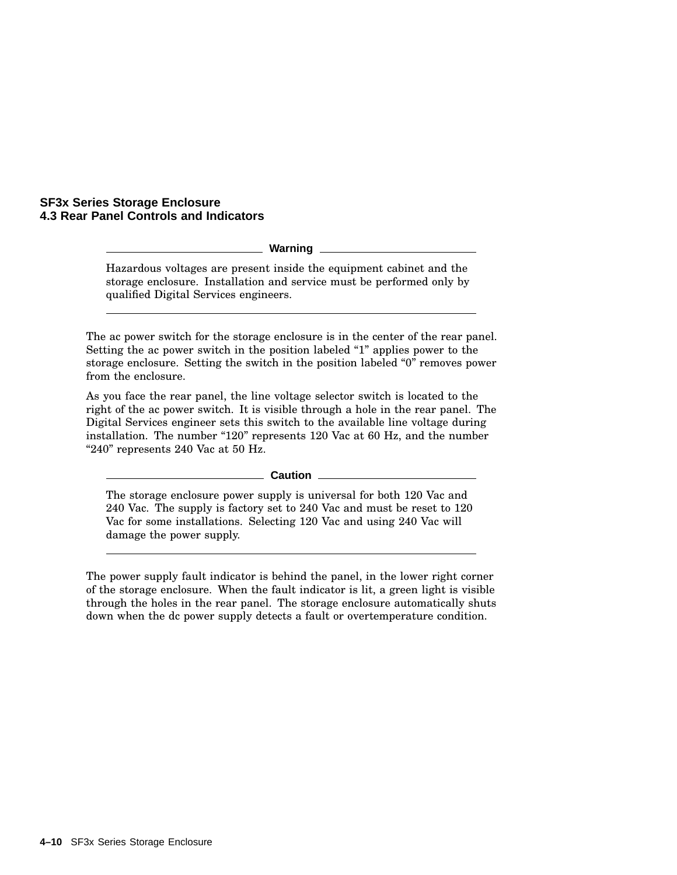#### **SF3x Series Storage Enclosure 4.3 Rear Panel Controls and Indicators**

**Warning**

Hazardous voltages are present inside the equipment cabinet and the storage enclosure. Installation and service must be performed only by qualified Digital Services engineers.

The ac power switch for the storage enclosure is in the center of the rear panel. Setting the ac power switch in the position labeled "1" applies power to the storage enclosure. Setting the switch in the position labeled "0" removes power from the enclosure.

As you face the rear panel, the line voltage selector switch is located to the right of the ac power switch. It is visible through a hole in the rear panel. The Digital Services engineer sets this switch to the available line voltage during installation. The number "120" represents 120 Vac at 60 Hz, and the number " $240$ " represents 240 Vac at 50 Hz.

**Caution**

The storage enclosure power supply is universal for both 120 Vac and 240 Vac. The supply is factory set to 240 Vac and must be reset to 120 Vac for some installations. Selecting 120 Vac and using 240 Vac will damage the power supply.

The power supply fault indicator is behind the panel, in the lower right corner of the storage enclosure. When the fault indicator is lit, a green light is visible through the holes in the rear panel. The storage enclosure automatically shuts down when the dc power supply detects a fault or overtemperature condition.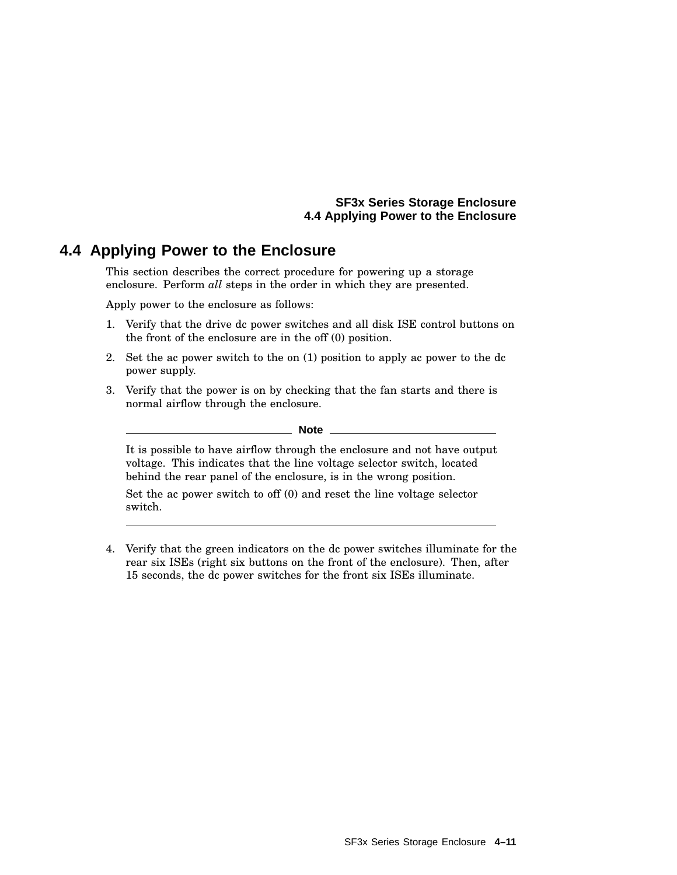#### **SF3x Series Storage Enclosure 4.4 Applying Power to the Enclosure**

## **4.4 Applying Power to the Enclosure**

This section describes the correct procedure for powering up a storage enclosure. Perform *all* steps in the order in which they are presented.

Apply power to the enclosure as follows:

- 1. Verify that the drive dc power switches and all disk ISE control buttons on the front of the enclosure are in the off (0) position.
- 2. Set the ac power switch to the on (1) position to apply ac power to the dc power supply.
- 3. Verify that the power is on by checking that the fan starts and there is normal airflow through the enclosure.

#### **Note**

It is possible to have airflow through the enclosure and not have output voltage. This indicates that the line voltage selector switch, located behind the rear panel of the enclosure, is in the wrong position.

Set the ac power switch to off (0) and reset the line voltage selector switch.

4. Verify that the green indicators on the dc power switches illuminate for the rear six ISEs (right six buttons on the front of the enclosure). Then, after 15 seconds, the dc power switches for the front six ISEs illuminate.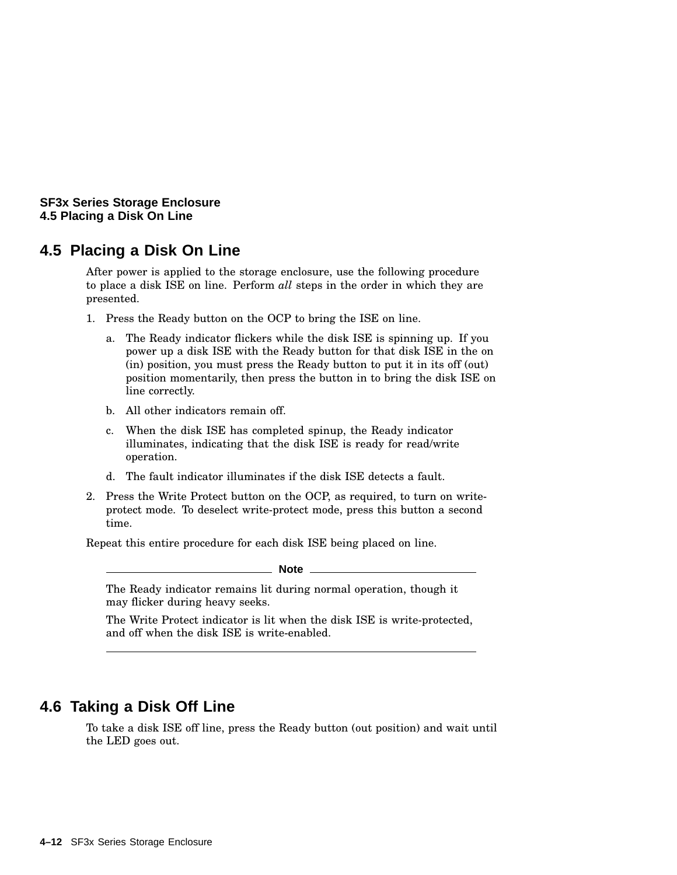**SF3x Series Storage Enclosure 4.5 Placing a Disk On Line**

#### **4.5 Placing a Disk On Line**

After power is applied to the storage enclosure, use the following procedure to place a disk ISE on line. Perform *all* steps in the order in which they are presented.

- 1. Press the Ready button on the OCP to bring the ISE on line.
	- a. The Ready indicator flickers while the disk ISE is spinning up. If you power up a disk ISE with the Ready button for that disk ISE in the on (in) position, you must press the Ready button to put it in its off (out) position momentarily, then press the button in to bring the disk ISE on line correctly.
	- b. All other indicators remain off.
	- c. When the disk ISE has completed spinup, the Ready indicator illuminates, indicating that the disk ISE is ready for read/write operation.
	- d. The fault indicator illuminates if the disk ISE detects a fault.
- 2. Press the Write Protect button on the OCP, as required, to turn on writeprotect mode. To deselect write-protect mode, press this button a second time.

Repeat this entire procedure for each disk ISE being placed on line.

\_ Note \_

The Ready indicator remains lit during normal operation, though it may flicker during heavy seeks.

The Write Protect indicator is lit when the disk ISE is write-protected, and off when the disk ISE is write-enabled.

## **4.6 Taking a Disk Off Line**

To take a disk ISE off line, press the Ready button (out position) and wait until the LED goes out.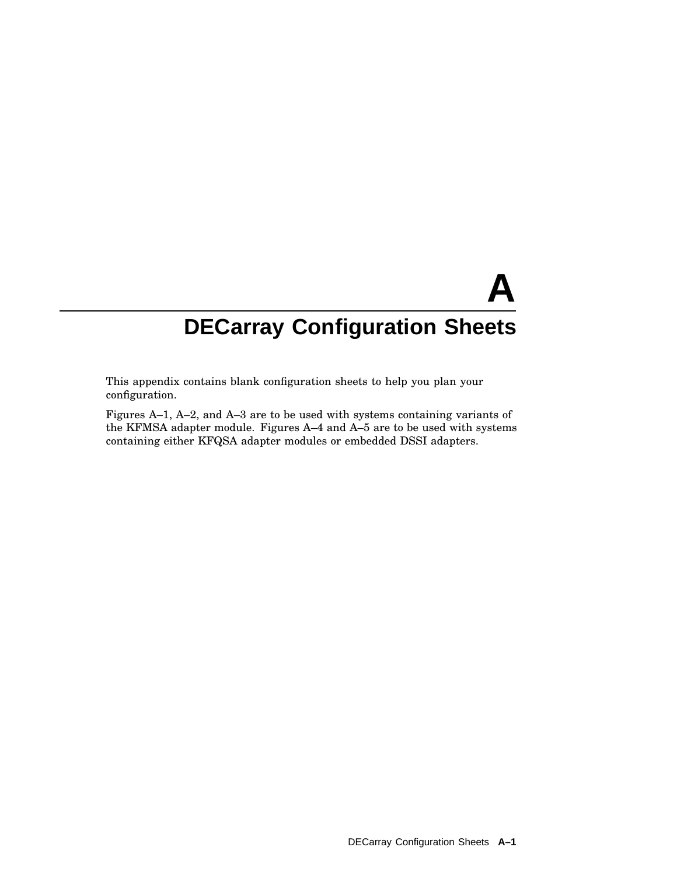This appendix contains blank configuration sheets to help you plan your configuration.

Figures A–1, A–2, and A–3 are to be used with systems containing variants of the KFMSA adapter module. Figures A–4 and A–5 are to be used with systems containing either KFQSA adapter modules or embedded DSSI adapters.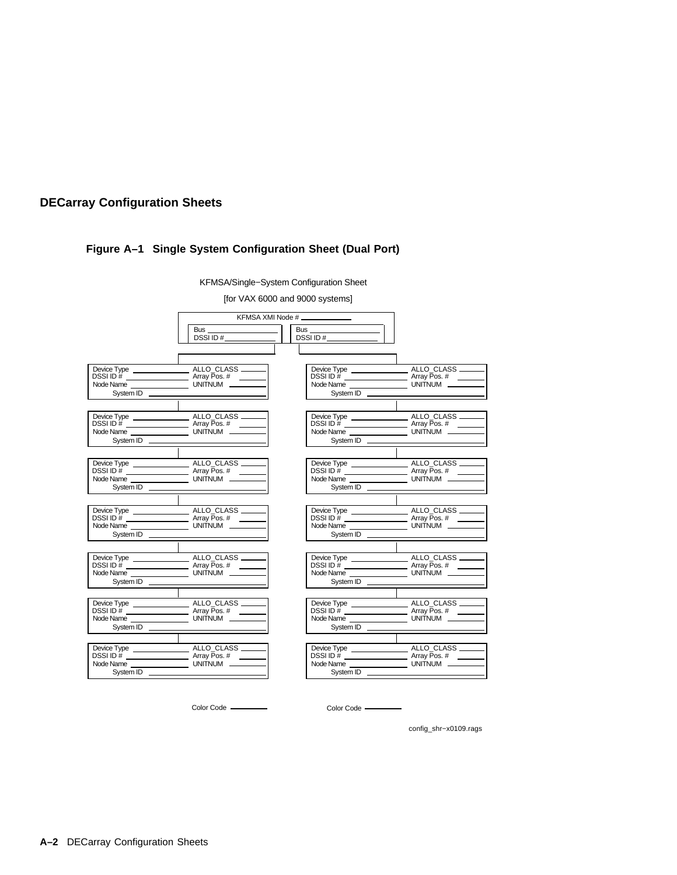#### **Figure A–1 Single System Configuration Sheet (Dual Port)**

[for VAX 6000 and 9000 systems] ALLO\_CLASS Array Pos. # UNITNUM ALLO\_CLASS Array Pos. # UNITNUM. Device Type DSSI ID # Node Name System ID Device Type DSSI ID # Node Name System ID KFMSA XMI Node # Bus DSSI ID # Bus DSSI ID #

KFMSA/Single−System Configuration Sheet



Color Code ————————————————————Color Code –

config\_shr−x0109.rags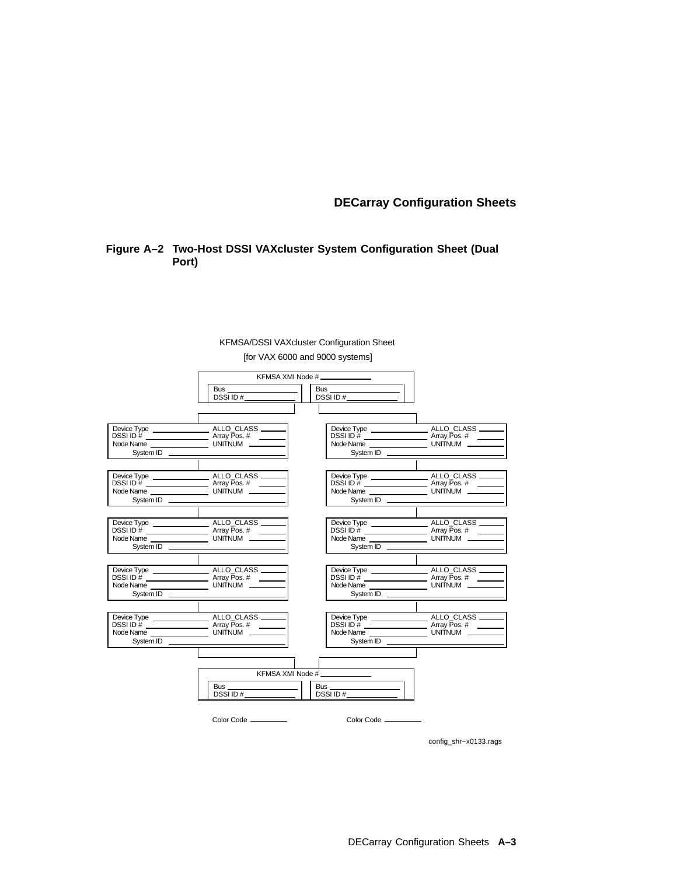#### **Figure A–2 Two-Host DSSI VAXcluster System Configuration Sheet (Dual Port)**



[for VAX 6000 and 9000 systems] KFMSA/DSSI VAXcluster Configuration Sheet

config\_shr−x0133.rags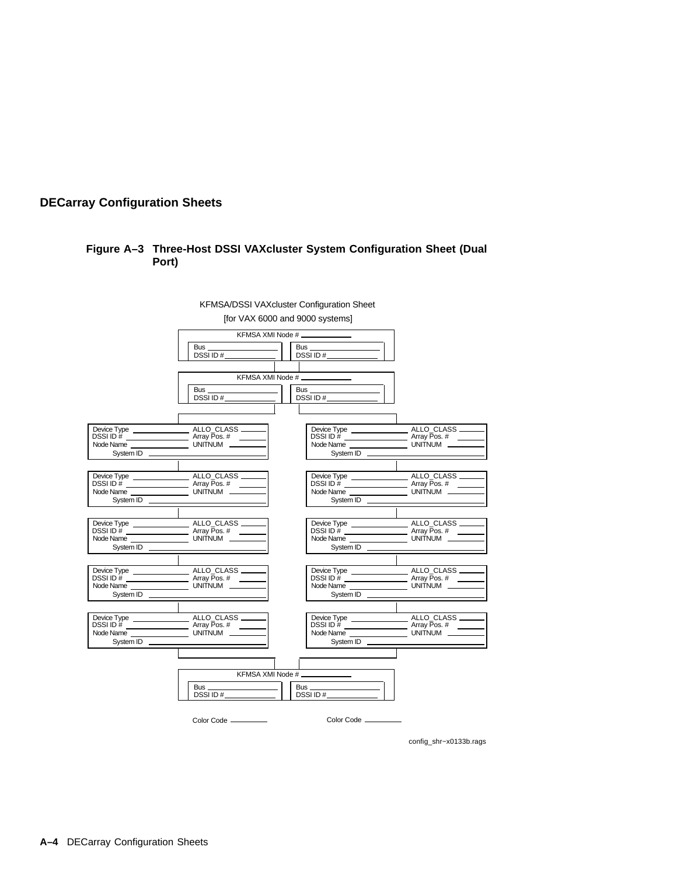#### **Figure A–3 Three-Host DSSI VAXcluster System Configuration Sheet (Dual Port)**



config\_shr−x0133b.rags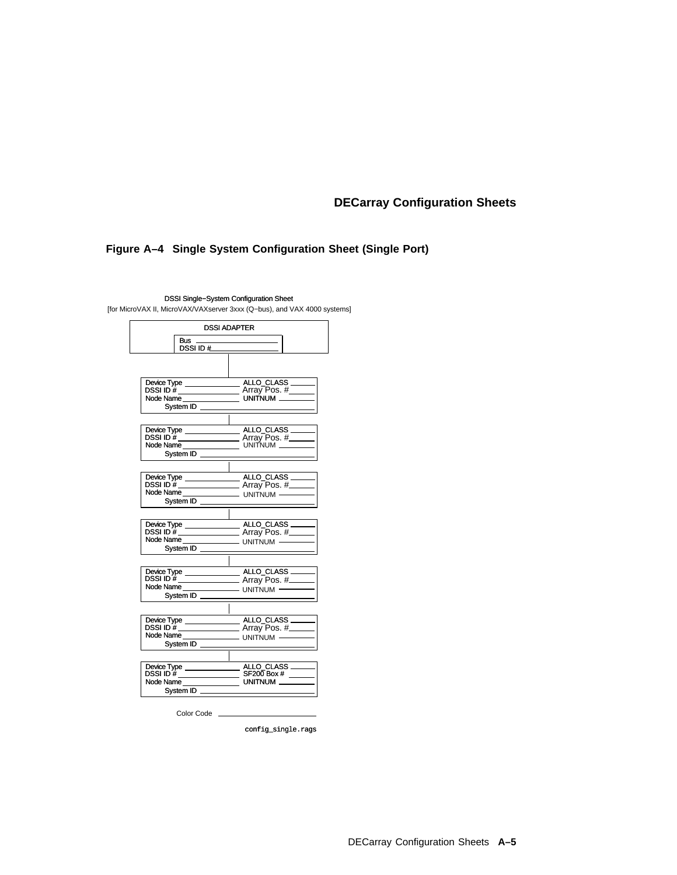#### **Figure A–4 Single System Configuration Sheet (Single Port)**

|                         | <b>DSSI ADAPTER</b>                                                                                                           |
|-------------------------|-------------------------------------------------------------------------------------------------------------------------------|
| Bus<br>DSSI ID $\sharp$ |                                                                                                                               |
|                         |                                                                                                                               |
|                         |                                                                                                                               |
|                         |                                                                                                                               |
|                         |                                                                                                                               |
| System ID               |                                                                                                                               |
|                         |                                                                                                                               |
|                         | DSSI ID <sup>"#</sup> <del>William Contract</del> Array Pos. #______<br>Node Name ______________________ UNITNUM ____________ |
| System ID               |                                                                                                                               |
|                         |                                                                                                                               |
|                         |                                                                                                                               |
|                         |                                                                                                                               |
| System ID               |                                                                                                                               |
|                         |                                                                                                                               |
|                         |                                                                                                                               |
|                         |                                                                                                                               |
| System ID               |                                                                                                                               |
|                         |                                                                                                                               |
|                         |                                                                                                                               |
| System ID               |                                                                                                                               |
|                         |                                                                                                                               |
|                         |                                                                                                                               |
|                         |                                                                                                                               |
|                         |                                                                                                                               |
| System ID               |                                                                                                                               |
|                         |                                                                                                                               |
|                         |                                                                                                                               |
| System ID               |                                                                                                                               |
|                         |                                                                                                                               |
|                         | Color Code <b>Color</b> Color Code                                                                                            |

DSSI Single−System Configuration Sheet [for MicroVAX II, MicroVAX/VAXserver 3xxx (Q−bus), and VAX 4000 systems]

config\_single.rags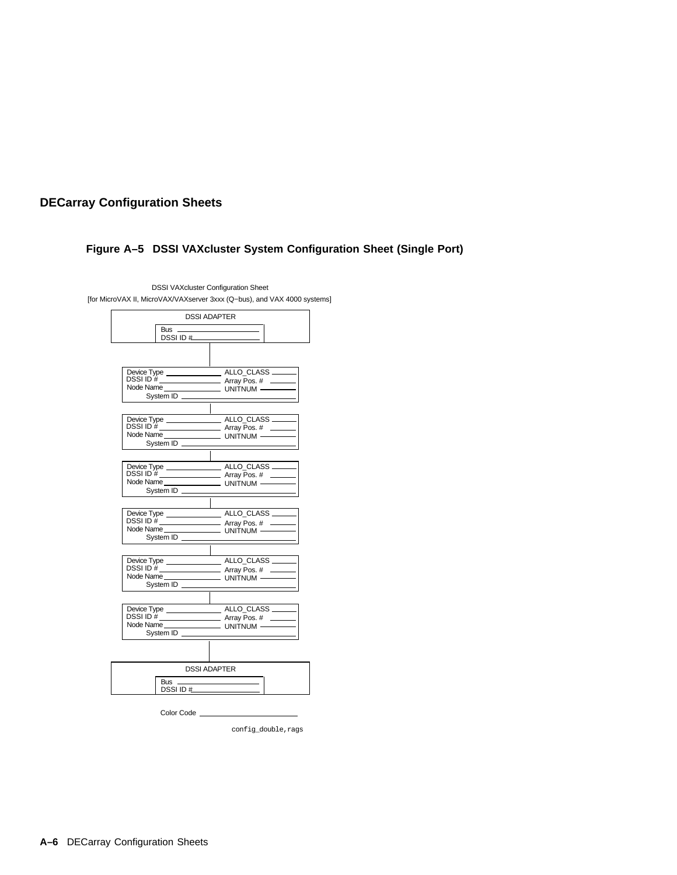### **Figure A–5 DSSI VAXcluster System Configuration Sheet (Single Port)**

|                     | <b>DSSI ADAPTER</b> |
|---------------------|---------------------|
| Bus                 |                     |
| DSSI ID $#$         |                     |
|                     |                     |
|                     |                     |
|                     |                     |
|                     |                     |
|                     |                     |
| System ID           |                     |
|                     |                     |
|                     |                     |
|                     |                     |
|                     |                     |
| System ID           |                     |
|                     |                     |
|                     |                     |
|                     |                     |
|                     |                     |
| System ID           |                     |
|                     |                     |
|                     |                     |
|                     |                     |
|                     |                     |
| System ID           |                     |
|                     |                     |
|                     |                     |
|                     |                     |
|                     |                     |
| System ID           |                     |
|                     |                     |
|                     |                     |
|                     |                     |
|                     |                     |
| System ID _         |                     |
|                     |                     |
|                     |                     |
|                     | <b>DSSI ADAPTER</b> |
|                     |                     |
| Bus<br>DSSI ID $\#$ |                     |
|                     |                     |
|                     |                     |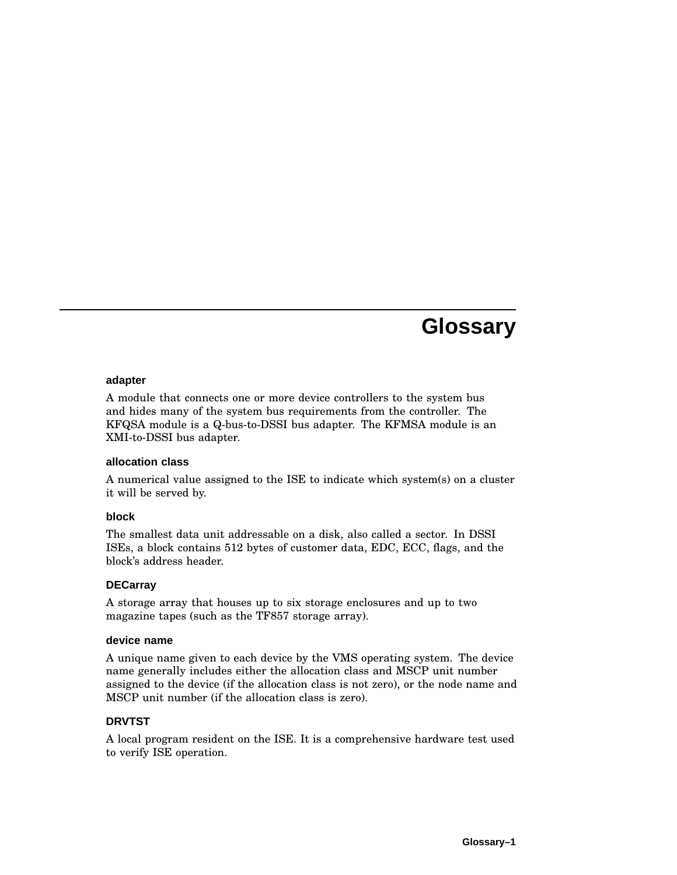# **Glossary**

#### **adapter**

A module that connects one or more device controllers to the system bus and hides many of the system bus requirements from the controller. The KFQSA module is a Q-bus-to-DSSI bus adapter. The KFMSA module is an XMI-to-DSSI bus adapter.

#### **allocation class**

A numerical value assigned to the ISE to indicate which system(s) on a cluster it will be served by.

#### **block**

The smallest data unit addressable on a disk, also called a sector. In DSSI ISEs, a block contains 512 bytes of customer data, EDC, ECC, flags, and the block's address header.

#### **DECarray**

A storage array that houses up to six storage enclosures and up to two magazine tapes (such as the TF857 storage array).

#### **device name**

A unique name given to each device by the VMS operating system. The device name generally includes either the allocation class and MSCP unit number assigned to the device (if the allocation class is not zero), or the node name and MSCP unit number (if the allocation class is zero).

#### **DRVTST**

A local program resident on the ISE. It is a comprehensive hardware test used to verify ISE operation.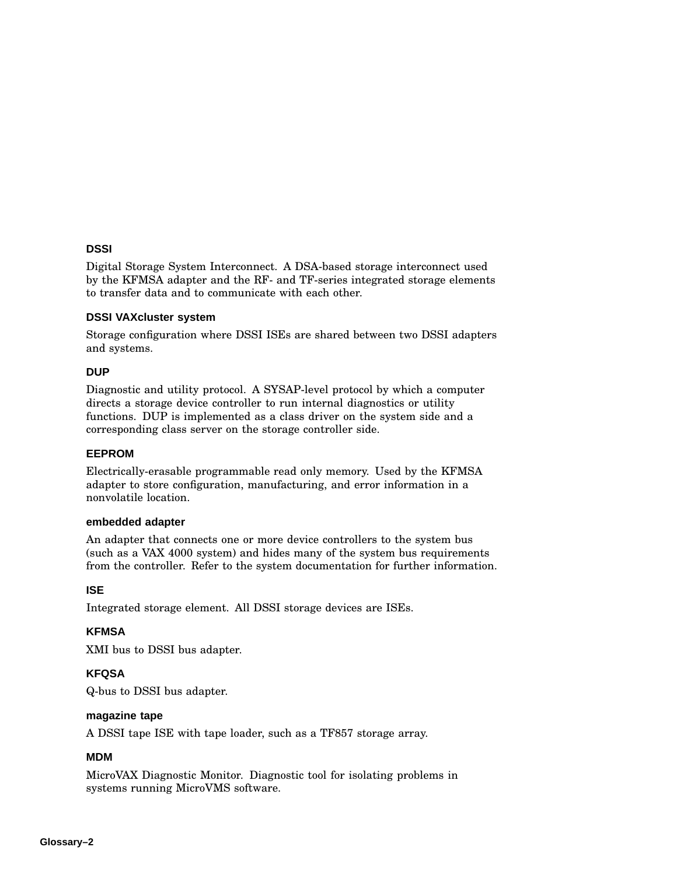#### **DSSI**

Digital Storage System Interconnect. A DSA-based storage interconnect used by the KFMSA adapter and the RF- and TF-series integrated storage elements to transfer data and to communicate with each other.

#### **DSSI VAXcluster system**

Storage configuration where DSSI ISEs are shared between two DSSI adapters and systems.

#### **DUP**

Diagnostic and utility protocol. A SYSAP-level protocol by which a computer directs a storage device controller to run internal diagnostics or utility functions. DUP is implemented as a class driver on the system side and a corresponding class server on the storage controller side.

#### **EEPROM**

Electrically-erasable programmable read only memory. Used by the KFMSA adapter to store configuration, manufacturing, and error information in a nonvolatile location.

#### **embedded adapter**

An adapter that connects one or more device controllers to the system bus (such as a VAX 4000 system) and hides many of the system bus requirements from the controller. Refer to the system documentation for further information.

#### **ISE**

Integrated storage element. All DSSI storage devices are ISEs.

#### **KFMSA**

XMI bus to DSSI bus adapter.

#### **KFQSA**

Q-bus to DSSI bus adapter.

#### **magazine tape**

A DSSI tape ISE with tape loader, such as a TF857 storage array.

#### **MDM**

MicroVAX Diagnostic Monitor. Diagnostic tool for isolating problems in systems running MicroVMS software.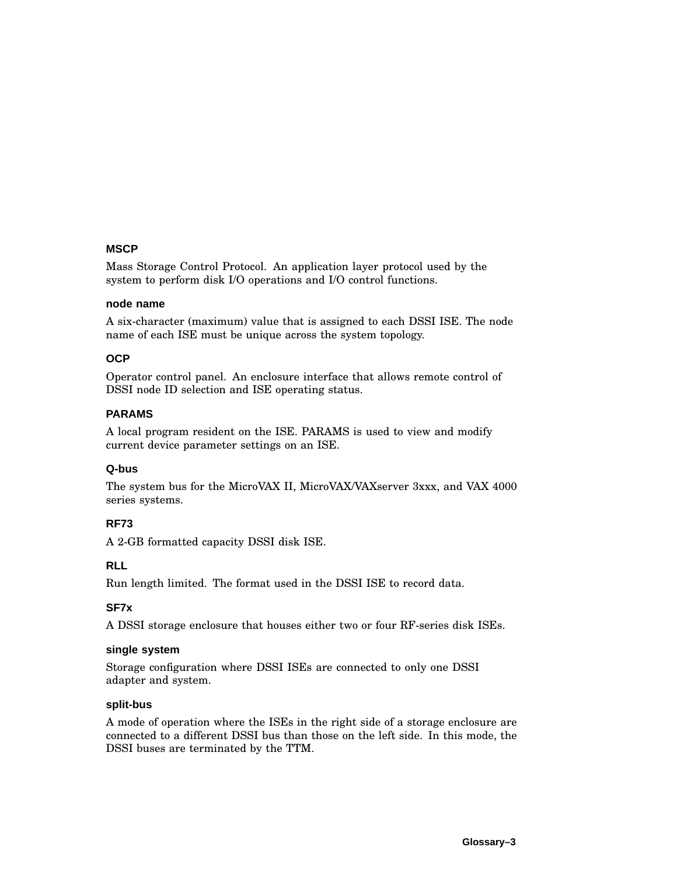#### **MSCP**

Mass Storage Control Protocol. An application layer protocol used by the system to perform disk I/O operations and I/O control functions.

#### **node name**

A six-character (maximum) value that is assigned to each DSSI ISE. The node name of each ISE must be unique across the system topology.

#### **OCP**

Operator control panel. An enclosure interface that allows remote control of DSSI node ID selection and ISE operating status.

#### **PARAMS**

A local program resident on the ISE. PARAMS is used to view and modify current device parameter settings on an ISE.

#### **Q-bus**

The system bus for the MicroVAX II, MicroVAX/VAXserver 3xxx, and VAX 4000 series systems.

#### **RF73**

A 2-GB formatted capacity DSSI disk ISE.

#### **RLL**

Run length limited. The format used in the DSSI ISE to record data.

#### **SF7x**

A DSSI storage enclosure that houses either two or four RF-series disk ISEs.

#### **single system**

Storage configuration where DSSI ISEs are connected to only one DSSI adapter and system.

#### **split-bus**

A mode of operation where the ISEs in the right side of a storage enclosure are connected to a different DSSI bus than those on the left side. In this mode, the DSSI buses are terminated by the TTM.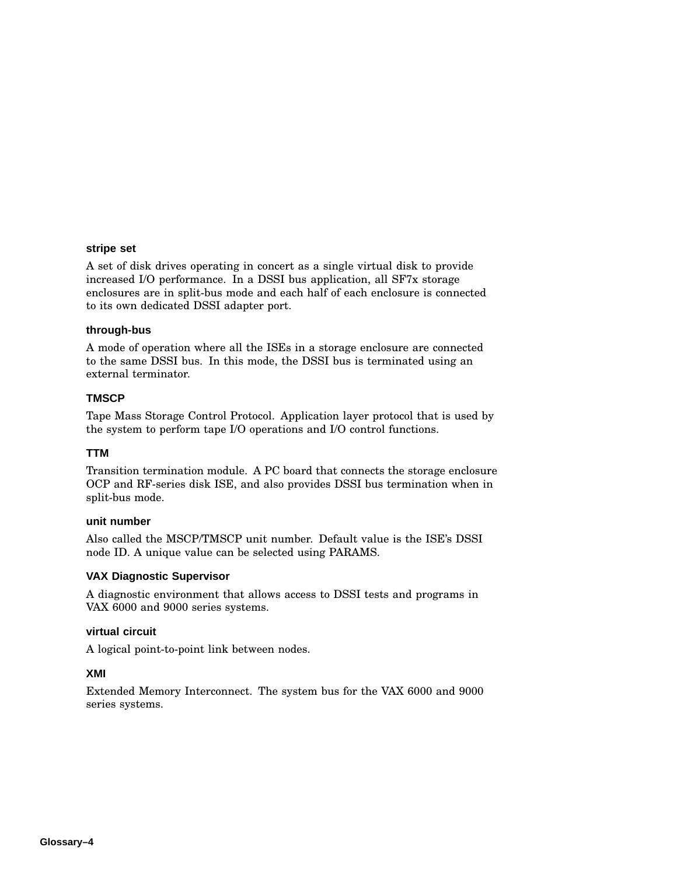#### **stripe set**

A set of disk drives operating in concert as a single virtual disk to provide increased I/O performance. In a DSSI bus application, all SF7x storage enclosures are in split-bus mode and each half of each enclosure is connected to its own dedicated DSSI adapter port.

#### **through-bus**

A mode of operation where all the ISEs in a storage enclosure are connected to the same DSSI bus. In this mode, the DSSI bus is terminated using an external terminator.

#### **TMSCP**

Tape Mass Storage Control Protocol. Application layer protocol that is used by the system to perform tape I/O operations and I/O control functions.

#### **TTM**

Transition termination module. A PC board that connects the storage enclosure OCP and RF-series disk ISE, and also provides DSSI bus termination when in split-bus mode.

#### **unit number**

Also called the MSCP/TMSCP unit number. Default value is the ISE's DSSI node ID. A unique value can be selected using PARAMS.

#### **VAX Diagnostic Supervisor**

A diagnostic environment that allows access to DSSI tests and programs in VAX 6000 and 9000 series systems.

#### **virtual circuit**

A logical point-to-point link between nodes.

#### **XMI**

Extended Memory Interconnect. The system bus for the VAX 6000 and 9000 series systems.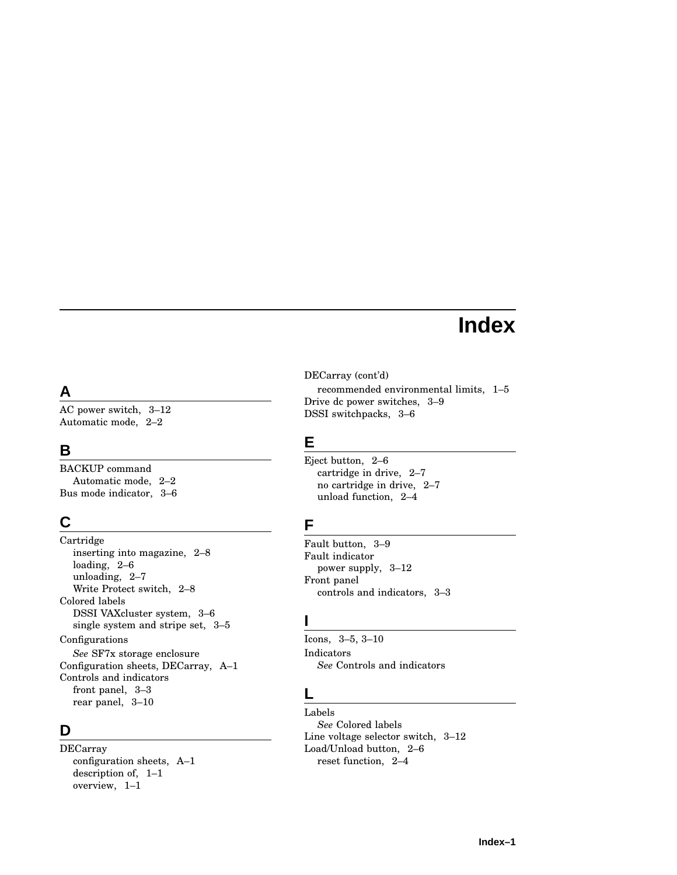# **Index**

## **A**

AC power switch, 3–12 Automatic mode, 2–2

## **B**

BACKUP command Automatic mode, 2–2 Bus mode indicator, 3–6

## **C**

Cartridge inserting into magazine, 2–8 loading, 2–6 unloading, 2–7 Write Protect switch, 2–8 Colored labels DSSI VAXcluster system, 3–6 single system and stripe set, 3–5 Configurations *See* SF7x storage enclosure Configuration sheets, DECarray, A–1 Controls and indicators front panel, 3–3 rear panel, 3–10

## **D**

DECarray configuration sheets, A–1 description of, 1–1 overview, 1–1

DECarray (cont'd)

recommended environmental limits, 1–5 Drive dc power switches, 3–9 DSSI switchpacks, 3–6

## **E**

Eject button, 2–6 cartridge in drive, 2–7 no cartridge in drive, 2–7 unload function, 2–4

## **F**

Fault button, 3–9 Fault indicator power supply, 3–12 Front panel controls and indicators, 3–3

## **I**

Icons, 3–5, 3–10 Indicators *See* Controls and indicators

## **L**

Labels *See* Colored labels Line voltage selector switch, 3–12 Load/Unload button, 2–6 reset function, 2–4